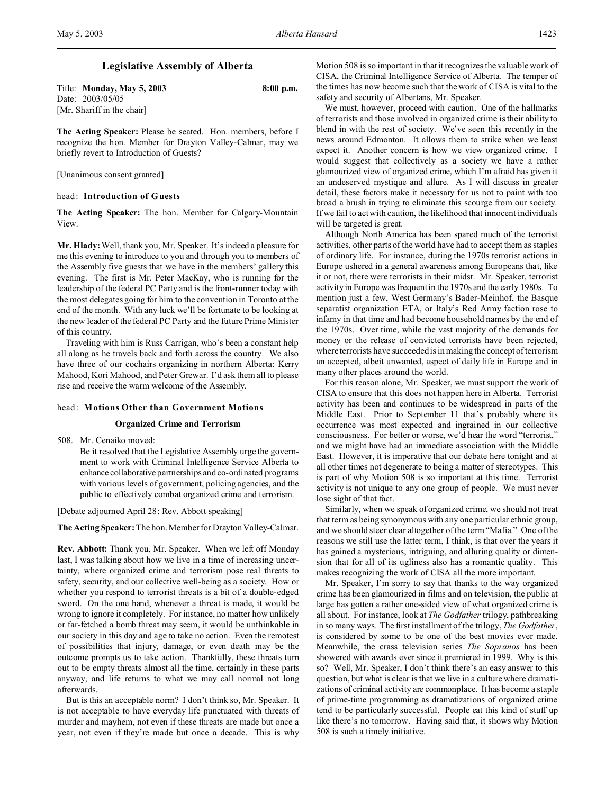# **Legislative Assembly of Alberta**

Title: **Monday, May 5, 2003 8:00 p.m.** Date: 2003/05/05 [Mr. Shariff in the chair]

**The Acting Speaker:** Please be seated. Hon. members, before I recognize the hon. Member for Drayton Valley-Calmar, may we briefly revert to Introduction of Guests?

[Unanimous consent granted]

### head: **Introduction of Guests**

**The Acting Speaker:** The hon. Member for Calgary-Mountain View.

**Mr. Hlady:** Well, thank you, Mr. Speaker. It's indeed a pleasure for me this evening to introduce to you and through you to members of the Assembly five guests that we have in the members' gallery this evening. The first is Mr. Peter MacKay, who is running for the leadership of the federal PC Party and is the front-runner today with the most delegates going for him to the convention in Toronto at the end of the month. With any luck we'll be fortunate to be looking at the new leader of the federal PC Party and the future Prime Minister of this country.

Traveling with him is Russ Carrigan, who's been a constant help all along as he travels back and forth across the country. We also have three of our cochairs organizing in northern Alberta: Kerry Mahood, Kori Mahood, and Peter Grewar. I'd ask them all to please rise and receive the warm welcome of the Assembly.

#### head: **Motions Other than Government Motions**

### **Organized Crime and Terrorism**

508. Mr. Cenaiko moved:

Be it resolved that the Legislative Assembly urge the government to work with Criminal Intelligence Service Alberta to enhance collaborative partnerships and co-ordinated programs with various levels of government, policing agencies, and the public to effectively combat organized crime and terrorism.

[Debate adjourned April 28: Rev. Abbott speaking]

**The Acting Speaker:** The hon. Member for Drayton Valley-Calmar.

**Rev. Abbott:** Thank you, Mr. Speaker. When we left off Monday last, I was talking about how we live in a time of increasing uncertainty, where organized crime and terrorism pose real threats to safety, security, and our collective well-being as a society. How or whether you respond to terrorist threats is a bit of a double-edged sword. On the one hand, whenever a threat is made, it would be wrong to ignore it completely. For instance, no matter how unlikely or far-fetched a bomb threat may seem, it would be unthinkable in our society in this day and age to take no action. Even the remotest of possibilities that injury, damage, or even death may be the outcome prompts us to take action. Thankfully, these threats turn out to be empty threats almost all the time, certainly in these parts anyway, and life returns to what we may call normal not long afterwards.

But is this an acceptable norm? I don't think so, Mr. Speaker. It is not acceptable to have everyday life punctuated with threats of murder and mayhem, not even if these threats are made but once a year, not even if they're made but once a decade. This is why Motion 508 is so important in that it recognizes the valuable work of CISA, the Criminal Intelligence Service of Alberta. The temper of the times has now become such that the work of CISA is vital to the safety and security of Albertans, Mr. Speaker.

We must, however, proceed with caution. One of the hallmarks of terrorists and those involved in organized crime is their ability to blend in with the rest of society. We've seen this recently in the news around Edmonton. It allows them to strike when we least expect it. Another concern is how we view organized crime. I would suggest that collectively as a society we have a rather glamourized view of organized crime, which I'm afraid has given it an undeserved mystique and allure. As I will discuss in greater detail, these factors make it necessary for us not to paint with too broad a brush in trying to eliminate this scourge from our society. If we fail to act with caution, the likelihood that innocent individuals will be targeted is great.

Although North America has been spared much of the terrorist activities, other parts of the world have had to accept them as staples of ordinary life. For instance, during the 1970s terrorist actions in Europe ushered in a general awareness among Europeans that, like it or not, there were terrorists in their midst. Mr. Speaker, terrorist activity in Europe was frequent in the 1970s and the early 1980s. To mention just a few, West Germany's Bader-Meinhof, the Basque separatist organization ETA, or Italy's Red Army faction rose to infamy in that time and had become household names by the end of the 1970s. Over time, while the vast majority of the demands for money or the release of convicted terrorists have been rejected, where terrorists have succeeded is in making the concept of terrorism an accepted, albeit unwanted, aspect of daily life in Europe and in many other places around the world.

For this reason alone, Mr. Speaker, we must support the work of CISA to ensure that this does not happen here in Alberta. Terrorist activity has been and continues to be widespread in parts of the Middle East. Prior to September 11 that's probably where its occurrence was most expected and ingrained in our collective consciousness. For better or worse, we'd hear the word "terrorist," and we might have had an immediate association with the Middle East. However, it is imperative that our debate here tonight and at all other times not degenerate to being a matter of stereotypes. This is part of why Motion 508 is so important at this time. Terrorist activity is not unique to any one group of people. We must never lose sight of that fact.

Similarly, when we speak of organized crime, we should not treat that term as being synonymous with any one particular ethnic group, and we should steer clear altogether of the term "Mafia." One of the reasons we still use the latter term, I think, is that over the years it has gained a mysterious, intriguing, and alluring quality or dimension that for all of its ugliness also has a romantic quality. This makes recognizing the work of CISA all the more important.

Mr. Speaker, I'm sorry to say that thanks to the way organized crime has been glamourized in films and on television, the public at large has gotten a rather one-sided view of what organized crime is all about. For instance, look at *The Godfather* trilogy, pathbreaking in so many ways. The first installment of the trilogy, *The Godfather*, is considered by some to be one of the best movies ever made. Meanwhile, the crass television series *The Sopranos* has been showered with awards ever since it premiered in 1999. Why is this so? Well, Mr. Speaker, I don't think there's an easy answer to this question, but what is clear is that we live in a culture where dramatizations of criminal activity are commonplace. It has become a staple of prime-time programming as dramatizations of organized crime tend to be particularly successful. People eat this kind of stuff up like there's no tomorrow. Having said that, it shows why Motion 508 is such a timely initiative.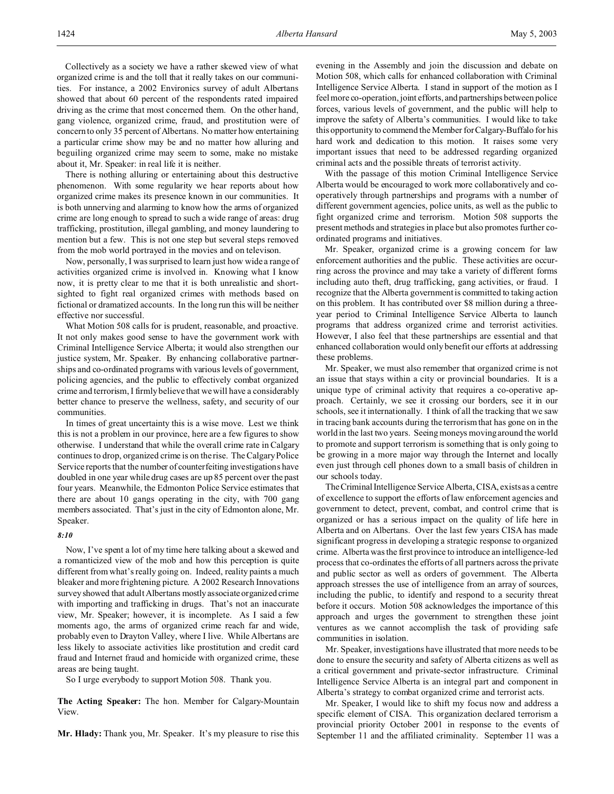Collectively as a society we have a rather skewed view of what organized crime is and the toll that it really takes on our communities. For instance, a 2002 Environics survey of adult Albertans showed that about 60 percent of the respondents rated impaired driving as the crime that most concerned them. On the other hand, gang violence, organized crime, fraud, and prostitution were of concern to only 35 percent of Albertans. No matter how entertaining a particular crime show may be and no matter how alluring and beguiling organized crime may seem to some, make no mistake about it, Mr. Speaker: in real life it is neither.

There is nothing alluring or entertaining about this destructive phenomenon. With some regularity we hear reports about how organized crime makes its presence known in our communities. It is both unnerving and alarming to know how the arms of organized crime are long enough to spread to such a wide range of areas: drug trafficking, prostitution, illegal gambling, and money laundering to mention but a few. This is not one step but several steps removed from the mob world portrayed in the movies and on televison.

Now, personally, I was surprised to learn just how wide a range of activities organized crime is involved in. Knowing what I know now, it is pretty clear to me that it is both unrealistic and shortsighted to fight real organized crimes with methods based on fictional or dramatized accounts. In the long run this will be neither effective nor successful.

What Motion 508 calls for is prudent, reasonable, and proactive. It not only makes good sense to have the government work with Criminal Intelligence Service Alberta; it would also strengthen our justice system, Mr. Speaker. By enhancing collaborative partnerships and co-ordinated programs with various levels of government, policing agencies, and the public to effectively combat organized crime and terrorism, I firmly believe that we will have a considerably better chance to preserve the wellness, safety, and security of our communities.

In times of great uncertainty this is a wise move. Lest we think this is not a problem in our province, here are a few figures to show otherwise. I understand that while the overall crime rate in Calgary continues to drop, organized crime is on the rise. The Calgary Police Service reports that the number of counterfeiting investigations have doubled in one year while drug cases are up 85 percent over the past four years. Meanwhile, the Edmonton Police Service estimates that there are about 10 gangs operating in the city, with 700 gang members associated. That's just in the city of Edmonton alone, Mr. Speaker.

#### *8:10*

Now, I've spent a lot of my time here talking about a skewed and a romanticized view of the mob and how this perception is quite different from what's really going on. Indeed, reality paints a much bleaker and more frightening picture. A 2002 Research Innovations survey showed that adult Albertans mostly associate organized crime with importing and trafficking in drugs. That's not an inaccurate view, Mr. Speaker; however, it is incomplete. As I said a few moments ago, the arms of organized crime reach far and wide, probably even to Drayton Valley, where I live. While Albertans are less likely to associate activities like prostitution and credit card fraud and Internet fraud and homicide with organized crime, these areas are being taught.

So I urge everybody to support Motion 508. Thank you.

**The Acting Speaker:** The hon. Member for Calgary-Mountain View.

**Mr. Hlady:** Thank you, Mr. Speaker. It's my pleasure to rise this

evening in the Assembly and join the discussion and debate on Motion 508, which calls for enhanced collaboration with Criminal Intelligence Service Alberta. I stand in support of the motion as I feel more co-operation, joint efforts, and partnerships between police forces, various levels of government, and the public will help to improve the safety of Alberta's communities. I would like to take this opportunity to commend the Member for Calgary-Buffalo for his hard work and dedication to this motion. It raises some very important issues that need to be addressed regarding organized criminal acts and the possible threats of terrorist activity.

With the passage of this motion Criminal Intelligence Service Alberta would be encouraged to work more collaboratively and cooperatively through partnerships and programs with a number of different government agencies, police units, as well as the public to fight organized crime and terrorism. Motion 508 supports the present methods and strategies in place but also promotes further coordinated programs and initiatives.

Mr. Speaker, organized crime is a growing concern for law enforcement authorities and the public. These activities are occurring across the province and may take a variety of different forms including auto theft, drug trafficking, gang activities, or fraud. I recognize that the Alberta government is committed to taking action on this problem. It has contributed over \$8 million during a threeyear period to Criminal Intelligence Service Alberta to launch programs that address organized crime and terrorist activities. However, I also feel that these partnerships are essential and that enhanced collaboration would only benefit our efforts at addressing these problems.

Mr. Speaker, we must also remember that organized crime is not an issue that stays within a city or provincial boundaries. It is a unique type of criminal activity that requires a co-operative approach. Certainly, we see it crossing our borders, see it in our schools, see it internationally. I think of all the tracking that we saw in tracing bank accounts during the terrorism that has gone on in the world in the last two years. Seeing moneys moving around the world to promote and support terrorism is something that is only going to be growing in a more major way through the Internet and locally even just through cell phones down to a small basis of children in our schools today.

The Criminal Intelligence Service Alberta, CISA, exists as a centre of excellence to support the efforts of law enforcement agencies and government to detect, prevent, combat, and control crime that is organized or has a serious impact on the quality of life here in Alberta and on Albertans. Over the last few years CISA has made significant progress in developing a strategic response to organized crime. Alberta was the first province to introduce an intelligence-led process that co-ordinates the efforts of all partners across the private and public sector as well as orders of government. The Alberta approach stresses the use of intelligence from an array of sources, including the public, to identify and respond to a security threat before it occurs. Motion 508 acknowledges the importance of this approach and urges the government to strengthen these joint ventures as we cannot accomplish the task of providing safe communities in isolation.

Mr. Speaker, investigations have illustrated that more needs to be done to ensure the security and safety of Alberta citizens as well as a critical government and private-sector infrastructure. Criminal Intelligence Service Alberta is an integral part and component in Alberta's strategy to combat organized crime and terrorist acts.

Mr. Speaker, I would like to shift my focus now and address a specific element of CISA. This organization declared terrorism a provincial priority October 2001 in response to the events of September 11 and the affiliated criminality. September 11 was a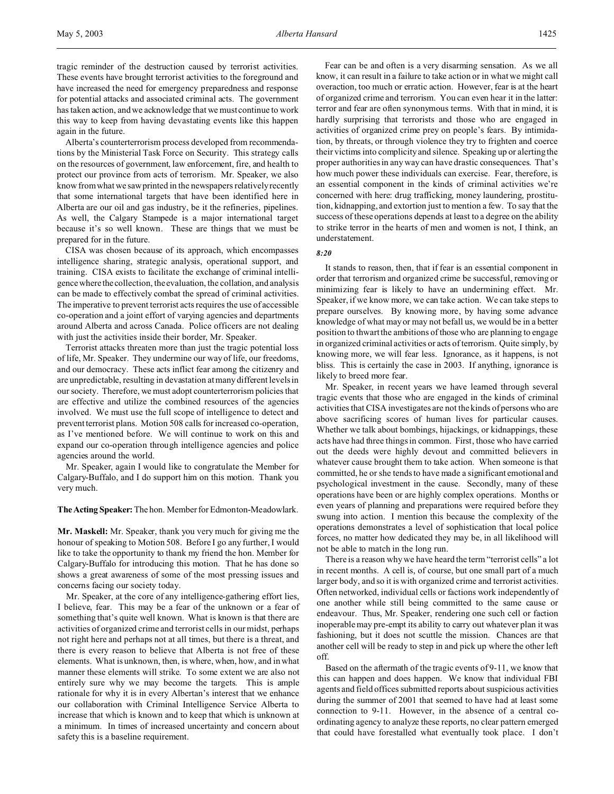tragic reminder of the destruction caused by terrorist activities. These events have brought terrorist activities to the foreground and have increased the need for emergency preparedness and response for potential attacks and associated criminal acts. The government has taken action, and we acknowledge that we must continue to work this way to keep from having devastating events like this happen again in the future.

Alberta's counterterrorism process developed from recommendations by the Ministerial Task Force on Security. This strategy calls on the resources of government, law enforcement, fire, and health to protect our province from acts of terrorism. Mr. Speaker, we also know from what we saw printed in the newspapers relatively recently that some international targets that have been identified here in Alberta are our oil and gas industry, be it the refineries, pipelines. As well, the Calgary Stampede is a major international target because it's so well known. These are things that we must be prepared for in the future.

CISA was chosen because of its approach, which encompasses intelligence sharing, strategic analysis, operational support, and training. CISA exists to facilitate the exchange of criminal intelligence where the collection, the evaluation, the collation, and analysis can be made to effectively combat the spread of criminal activities. The imperative to prevent terrorist acts requires the use of accessible co-operation and a joint effort of varying agencies and departments around Alberta and across Canada. Police officers are not dealing with just the activities inside their border, Mr. Speaker.

Terrorist attacks threaten more than just the tragic potential loss of life, Mr. Speaker. They undermine our way of life, our freedoms, and our democracy. These acts inflict fear among the citizenry and are unpredictable, resulting in devastation at many different levels in our society. Therefore, we must adopt counterterrorism policies that are effective and utilize the combined resources of the agencies involved. We must use the full scope of intelligence to detect and prevent terrorist plans. Motion 508 calls for increased co-operation, as I've mentioned before. We will continue to work on this and expand our co-operation through intelligence agencies and police agencies around the world.

Mr. Speaker, again I would like to congratulate the Member for Calgary-Buffalo, and I do support him on this motion. Thank you very much.

**TheActing Speaker:** The hon. Member for Edmonton-Meadowlark.

**Mr. Maskell:** Mr. Speaker, thank you very much for giving me the honour of speaking to Motion 508. Before I go any further, I would like to take the opportunity to thank my friend the hon. Member for Calgary-Buffalo for introducing this motion. That he has done so shows a great awareness of some of the most pressing issues and concerns facing our society today.

Mr. Speaker, at the core of any intelligence-gathering effort lies, I believe, fear. This may be a fear of the unknown or a fear of something that's quite well known. What is known is that there are activities of organized crime and terrorist cells in our midst, perhaps not right here and perhaps not at all times, but there is a threat, and there is every reason to believe that Alberta is not free of these elements. What is unknown, then, is where, when, how, and in what manner these elements will strike. To some extent we are also not entirely sure why we may become the targets. This is ample rationale for why it is in every Albertan's interest that we enhance our collaboration with Criminal Intelligence Service Alberta to increase that which is known and to keep that which is unknown at a minimum. In times of increased uncertainty and concern about safety this is a baseline requirement.

Fear can be and often is a very disarming sensation. As we all know, it can result in a failure to take action or in what we might call overaction, too much or erratic action. However, fear is at the heart of organized crime and terrorism. You can even hear it in the latter: terror and fear are often synonymous terms. With that in mind, it is hardly surprising that terrorists and those who are engaged in activities of organized crime prey on people's fears. By intimidation, by threats, or through violence they try to frighten and coerce their victims into complicity and silence. Speaking up or alerting the proper authorities in any way can have drastic consequences. That's how much power these individuals can exercise. Fear, therefore, is an essential component in the kinds of criminal activities we're concerned with here: drug trafficking, money laundering, prostitution, kidnapping, and extortion just to mention a few. To say that the success of these operations depends at least to a degree on the ability to strike terror in the hearts of men and women is not, I think, an understatement.

#### *8:20*

It stands to reason, then, that if fear is an essential component in order that terrorism and organized crime be successful, removing or minimizing fear is likely to have an undermining effect. Mr. Speaker, if we know more, we can take action. We can take steps to prepare ourselves. By knowing more, by having some advance knowledge of what may or may not befall us, we would be in a better position to thwart the ambitions of those who are planning to engage in organized criminal activities or acts of terrorism. Quite simply, by knowing more, we will fear less. Ignorance, as it happens, is not bliss. This is certainly the case in 2003. If anything, ignorance is likely to breed more fear.

Mr. Speaker, in recent years we have learned through several tragic events that those who are engaged in the kinds of criminal activities that CISA investigates are not the kinds of persons who are above sacrificing scores of human lives for particular causes. Whether we talk about bombings, hijackings, or kidnappings, these acts have had three things in common. First, those who have carried out the deeds were highly devout and committed believers in whatever cause brought them to take action. When someone is that committed, he or she tends to have made a significant emotional and psychological investment in the cause. Secondly, many of these operations have been or are highly complex operations. Months or even years of planning and preparations were required before they swung into action. I mention this because the complexity of the operations demonstrates a level of sophistication that local police forces, no matter how dedicated they may be, in all likelihood will not be able to match in the long run.

There is a reason why we have heard the term "terrorist cells" a lot in recent months. A cell is, of course, but one small part of a much larger body, and so it is with organized crime and terrorist activities. Often networked, individual cells or factions work independently of one another while still being committed to the same cause or endeavour. Thus, Mr. Speaker, rendering one such cell or faction inoperable may pre-empt its ability to carry out whatever plan it was fashioning, but it does not scuttle the mission. Chances are that another cell will be ready to step in and pick up where the other left off.

Based on the aftermath of the tragic events of 9-11, we know that this can happen and does happen. We know that individual FBI agents and field offices submitted reports about suspicious activities during the summer of 2001 that seemed to have had at least some connection to 9-11. However, in the absence of a central coordinating agency to analyze these reports, no clear pattern emerged that could have forestalled what eventually took place. I don't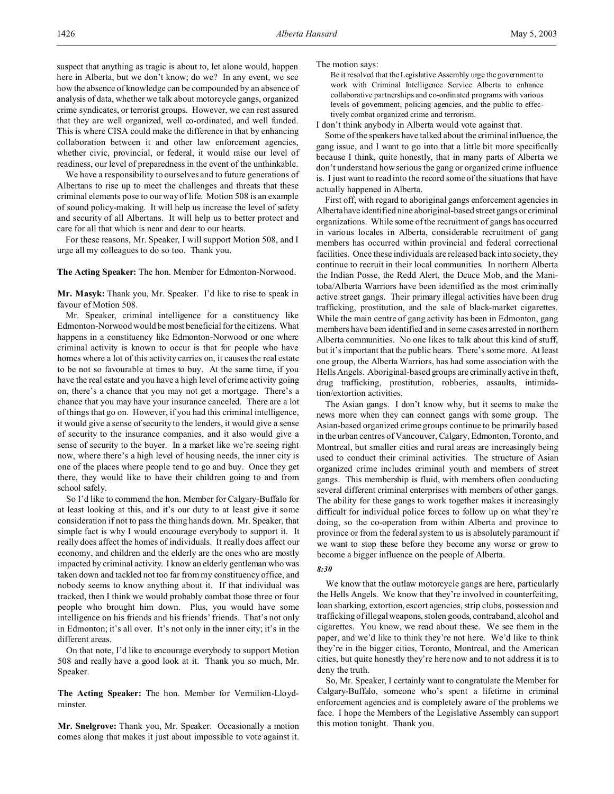suspect that anything as tragic is about to, let alone would, happen here in Alberta, but we don't know; do we? In any event, we see how the absence of knowledge can be compounded by an absence of analysis of data, whether we talk about motorcycle gangs, organized crime syndicates, or terrorist groups. However, we can rest assured that they are well organized, well co-ordinated, and well funded. This is where CISA could make the difference in that by enhancing collaboration between it and other law enforcement agencies, whether civic, provincial, or federal, it would raise our level of readiness, our level of preparedness in the event of the unthinkable.

We have a responsibility to ourselves and to future generations of Albertans to rise up to meet the challenges and threats that these criminal elements pose to our way of life. Motion 508 is an example of sound policy-making. It will help us increase the level of safety and security of all Albertans. It will help us to better protect and care for all that which is near and dear to our hearts.

For these reasons, Mr. Speaker, I will support Motion 508, and I urge all my colleagues to do so too. Thank you.

**The Acting Speaker:** The hon. Member for Edmonton-Norwood.

**Mr. Masyk:** Thank you, Mr. Speaker. I'd like to rise to speak in favour of Motion 508.

Mr. Speaker, criminal intelligence for a constituency like Edmonton-Norwood would be most beneficial for the citizens. What happens in a constituency like Edmonton-Norwood or one where criminal activity is known to occur is that for people who have homes where a lot of this activity carries on, it causes the real estate to be not so favourable at times to buy. At the same time, if you have the real estate and you have a high level of crime activity going on, there's a chance that you may not get a mortgage. There's a chance that you may have your insurance canceled. There are a lot of things that go on. However, if you had this criminal intelligence, it would give a sense of security to the lenders, it would give a sense of security to the insurance companies, and it also would give a sense of security to the buyer. In a market like we're seeing right now, where there's a high level of housing needs, the inner city is one of the places where people tend to go and buy. Once they get there, they would like to have their children going to and from school safely.

So I'd like to commend the hon. Member for Calgary-Buffalo for at least looking at this, and it's our duty to at least give it some consideration if not to pass the thing hands down. Mr. Speaker, that simple fact is why I would encourage everybody to support it. It really does affect the homes of individuals. It really does affect our economy, and children and the elderly are the ones who are mostly impacted by criminal activity. I know an elderly gentleman who was taken down and tackled not too far from my constituency office, and nobody seems to know anything about it. If that individual was tracked, then I think we would probably combat those three or four people who brought him down. Plus, you would have some intelligence on his friends and his friends' friends. That's not only in Edmonton; it's all over. It's not only in the inner city; it's in the different areas.

On that note, I'd like to encourage everybody to support Motion 508 and really have a good look at it. Thank you so much, Mr. Speaker.

**The Acting Speaker:** The hon. Member for Vermilion-Lloydminster.

**Mr. Snelgrove:** Thank you, Mr. Speaker. Occasionally a motion comes along that makes it just about impossible to vote against it. The motion says:

Be it resolved that the Legislative Assembly urge the government to work with Criminal Intelligence Service Alberta to enhance collaborative partnerships and co-ordinated programs with various levels of government, policing agencies, and the public to effectively combat organized crime and terrorism.

I don't think anybody in Alberta would vote against that.

Some of the speakers have talked about the criminal influence, the gang issue, and I want to go into that a little bit more specifically because I think, quite honestly, that in many parts of Alberta we don't understand how serious the gang or organized crime influence is. I just want to read into the record some of the situations that have actually happened in Alberta.

First off, with regard to aboriginal gangs enforcement agencies in Albertahave identified nine aboriginal-based street gangs or criminal organizations. While some of the recruitment of gangs has occurred in various locales in Alberta, considerable recruitment of gang members has occurred within provincial and federal correctional facilities. Once these individuals are released back into society, they continue to recruit in their local communities. In northern Alberta the Indian Posse, the Redd Alert, the Deuce Mob, and the Manitoba/Alberta Warriors have been identified as the most criminally active street gangs. Their primary illegal activities have been drug trafficking, prostitution, and the sale of black-market cigarettes. While the main centre of gang activity has been in Edmonton, gang members have been identified and in some cases arrested in northern Alberta communities. No one likes to talk about this kind of stuff, but it's important that the public hears. There's some more. At least one group, the Alberta Warriors, has had some association with the Hells Angels. Aboriginal-based groups are criminally active in theft, drug trafficking, prostitution, robberies, assaults, intimidation/extortion activities.

The Asian gangs. I don't know why, but it seems to make the news more when they can connect gangs with some group. The Asian-based organized crime groups continue to be primarily based in the urban centres of Vancouver, Calgary, Edmonton, Toronto, and Montreal, but smaller cities and rural areas are increasingly being used to conduct their criminal activities. The structure of Asian organized crime includes criminal youth and members of street gangs. This membership is fluid, with members often conducting several different criminal enterprises with members of other gangs. The ability for these gangs to work together makes it increasingly difficult for individual police forces to follow up on what they're doing, so the co-operation from within Alberta and province to province or from the federal system to us is absolutely paramount if we want to stop these before they become any worse or grow to become a bigger influence on the people of Alberta.

#### *8:30*

We know that the outlaw motorcycle gangs are here, particularly the Hells Angels. We know that they're involved in counterfeiting, loan sharking, extortion, escort agencies, strip clubs, possession and trafficking of illegal weapons, stolen goods, contraband, alcohol and cigarettes. You know, we read about these. We see them in the paper, and we'd like to think they're not here. We'd like to think they're in the bigger cities, Toronto, Montreal, and the American cities, but quite honestly they're here now and to not address it is to deny the truth.

So, Mr. Speaker, I certainly want to congratulate the Member for Calgary-Buffalo, someone who's spent a lifetime in criminal enforcement agencies and is completely aware of the problems we face. I hope the Members of the Legislative Assembly can support this motion tonight. Thank you.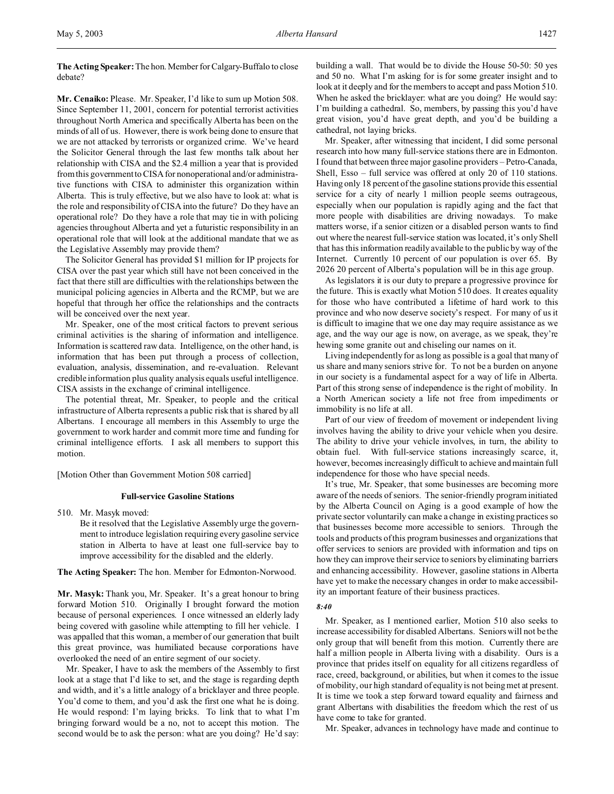**The Acting Speaker:** The hon.Member for Calgary-Buffalo to close debate?

**Mr. Cenaiko:** Please. Mr. Speaker, I'd like to sum up Motion 508. Since September 11, 2001, concern for potential terrorist activities throughout North America and specifically Alberta has been on the minds of all of us. However, there is work being done to ensure that we are not attacked by terrorists or organized crime. We've heard the Solicitor General through the last few months talk about her relationship with CISA and the \$2.4 million a year that is provided from this government to CISA for nonoperational and/or administrative functions with CISA to administer this organization within Alberta. This is truly effective, but we also have to look at: what is the role and responsibility of CISA into the future? Do they have an operational role? Do they have a role that may tie in with policing agencies throughout Alberta and yet a futuristic responsibility in an operational role that will look at the additional mandate that we as the Legislative Assembly may provide them?

The Solicitor General has provided \$1 million for IP projects for CISA over the past year which still have not been conceived in the fact that there still are difficulties with the relationships between the municipal policing agencies in Alberta and the RCMP, but we are hopeful that through her office the relationships and the contracts will be conceived over the next year.

Mr. Speaker, one of the most critical factors to prevent serious criminal activities is the sharing of information and intelligence. Information is scattered raw data. Intelligence, on the other hand, is information that has been put through a process of collection, evaluation, analysis, dissemination, and re-evaluation. Relevant credible information plus quality analysis equals useful intelligence. CISA assists in the exchange of criminal intelligence.

The potential threat, Mr. Speaker, to people and the critical infrastructure of Alberta represents a public risk that is shared by all Albertans. I encourage all members in this Assembly to urge the government to work harder and commit more time and funding for criminal intelligence efforts. I ask all members to support this motion.

[Motion Other than Government Motion 508 carried]

#### **Full-service Gasoline Stations**

510. Mr. Masyk moved: Be it resolved that the Legislative Assembly urge the government to introduce legislation requiring every gasoline service station in Alberta to have at least one full-service bay to improve accessibility for the disabled and the elderly.

**The Acting Speaker:** The hon. Member for Edmonton-Norwood.

**Mr. Masyk:** Thank you, Mr. Speaker. It's a great honour to bring forward Motion 510. Originally I brought forward the motion because of personal experiences. I once witnessed an elderly lady being covered with gasoline while attempting to fill her vehicle. I was appalled that this woman, a member of our generation that built this great province, was humiliated because corporations have overlooked the need of an entire segment of our society.

Mr. Speaker, I have to ask the members of the Assembly to first look at a stage that I'd like to set, and the stage is regarding depth and width, and it's a little analogy of a bricklayer and three people. You'd come to them, and you'd ask the first one what he is doing. He would respond: I'm laying bricks. To link that to what I'm bringing forward would be a no, not to accept this motion. The second would be to ask the person: what are you doing? He'd say:

building a wall. That would be to divide the House 50-50: 50 yes and 50 no. What I'm asking for is for some greater insight and to look at it deeply and for the members to accept and pass Motion 510. When he asked the bricklayer: what are you doing? He would say: I'm building a cathedral. So, members, by passing this you'd have great vision, you'd have great depth, and you'd be building a cathedral, not laying bricks.

Mr. Speaker, after witnessing that incident, I did some personal research into how many full-service stations there are in Edmonton. I found that between three major gasoline providers – Petro-Canada, Shell, Esso – full service was offered at only 20 of 110 stations. Having only 18 percent of the gasoline stations provide this essential service for a city of nearly 1 million people seems outrageous, especially when our population is rapidly aging and the fact that more people with disabilities are driving nowadays. To make matters worse, if a senior citizen or a disabled person wants to find out where the nearest full-service station was located, it's only Shell that has this information readily available to the public by way of the Internet. Currently 10 percent of our population is over 65. By 2026 20 percent of Alberta's population will be in this age group.

As legislators it is our duty to prepare a progressive province for the future. This is exactly what Motion 510 does. It creates equality for those who have contributed a lifetime of hard work to this province and who now deserve society's respect. For many of us it is difficult to imagine that we one day may require assistance as we age, and the way our age is now, on average, as we speak, they're hewing some granite out and chiseling our names on it.

Living independently for as long as possible is a goal that many of us share and many seniors strive for. To not be a burden on anyone in our society is a fundamental aspect for a way of life in Alberta. Part of this strong sense of independence is the right of mobility. In a North American society a life not free from impediments or immobility is no life at all.

Part of our view of freedom of movement or independent living involves having the ability to drive your vehicle when you desire. The ability to drive your vehicle involves, in turn, the ability to obtain fuel. With full-service stations increasingly scarce, it, however, becomes increasingly difficult to achieve and maintain full independence for those who have special needs.

It's true, Mr. Speaker, that some businesses are becoming more aware of the needs of seniors. The senior-friendly program initiated by the Alberta Council on Aging is a good example of how the private sector voluntarily can make a change in existing practices so that businesses become more accessible to seniors. Through the tools and products of this program businesses and organizations that offer services to seniors are provided with information and tips on how they can improve their service to seniors by eliminating barriers and enhancing accessibility. However, gasoline stations in Alberta have yet to make the necessary changes in order to make accessibility an important feature of their business practices.

### *8:40*

Mr. Speaker, as I mentioned earlier, Motion 510 also seeks to increase accessibility for disabled Albertans. Seniors will not be the only group that will benefit from this motion. Currently there are half a million people in Alberta living with a disability. Ours is a province that prides itself on equality for all citizens regardless of race, creed, background, or abilities, but when it comes to the issue of mobility, our high standard of equality is not being met at present. It is time we took a step forward toward equality and fairness and grant Albertans with disabilities the freedom which the rest of us have come to take for granted.

Mr. Speaker, advances in technology have made and continue to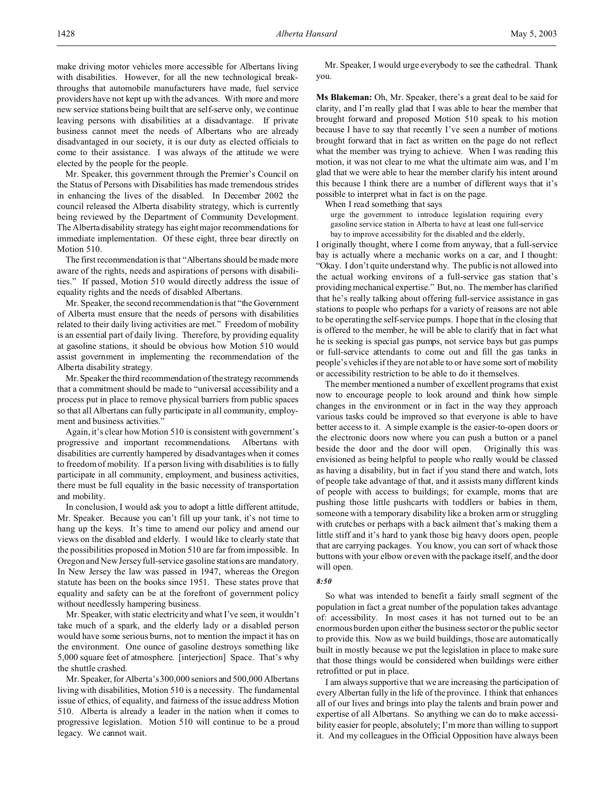make driving motor vehicles more accessible for Albertans living with disabilities. However, for all the new technological breakthroughs that automobile manufacturers have made, fuel service providers have not kept up with the advances. With more and more new service stations being built that are self-serve only, we continue leaving persons with disabilities at a disadvantage. If private business cannot meet the needs of Albertans who are already disadvantaged in our society, it is our duty as elected officials to come to their assistance. I was always of the attitude we were elected by the people for the people.

Mr. Speaker, this government through the Premier's Council on the Status of Persons with Disabilities has made tremendous strides in enhancing the lives of the disabled. In December 2002 the council released the Alberta disability strategy, which is currently being reviewed by the Department of Community Development. The Alberta disability strategy has eight major recommendations for immediate implementation. Of these eight, three bear directly on Motion 510.

The first recommendation is that "Albertans should be made more aware of the rights, needs and aspirations of persons with disabilities." If passed, Motion 510 would directly address the issue of equality rights and the needs of disabled Albertans.

Mr. Speaker, the second recommendation is that "the Government of Alberta must ensure that the needs of persons with disabilities related to their daily living activities are met." Freedom of mobility is an essential part of daily living. Therefore, by providing equality at gasoline stations, it should be obvious how Motion 510 would assist government in implementing the recommendation of the Alberta disability strategy.

Mr.Speaker the third recommendation of the strategy recommends that a commitment should be made to "universal accessibility and a process put in place to remove physical barriers from public spaces so that all Albertans can fully participate in all community, employment and business activities."

Again, it's clear how Motion 510 is consistent with government's progressive and important recommendations. Albertans with disabilities are currently hampered by disadvantages when it comes to freedom of mobility. If a person living with disabilities is to fully participate in all community, employment, and business activities, there must be full equality in the basic necessity of transportation and mobility.

In conclusion, I would ask you to adopt a little different attitude, Mr. Speaker. Because you can't fill up your tank, it's not time to hang up the keys. It's time to amend our policy and amend our views on the disabled and elderly. I would like to clearly state that the possibilities proposed in Motion 510 are far from impossible. In Oregon and New Jersey full-service gasoline stations are mandatory. In New Jersey the law was passed in 1947, whereas the Oregon statute has been on the books since 1951. These states prove that equality and safety can be at the forefront of government policy without needlessly hampering business.

Mr. Speaker, with static electricity and what I've seen, it wouldn't take much of a spark, and the elderly lady or a disabled person would have some serious burns, not to mention the impact it has on the environment. One ounce of gasoline destroys something like 5,000 square feet of atmosphere. [interjection] Space. That's why the shuttle crashed.

Mr. Speaker, for Alberta's 300,000 seniors and 500,000 Albertans living with disabilities, Motion 510 is a necessity. The fundamental issue of ethics, of equality, and fairness of the issue address Motion 510. Alberta is already a leader in the nation when it comes to progressive legislation. Motion 510 will continue to be a proud legacy. We cannot wait.

Mr. Speaker, I would urge everybody to see the cathedral. Thank you.

**Ms Blakeman:** Oh, Mr. Speaker, there's a great deal to be said for clarity, and I'm really glad that I was able to hear the member that brought forward and proposed Motion 510 speak to his motion because I have to say that recently I've seen a number of motions brought forward that in fact as written on the page do not reflect what the member was trying to achieve. When I was reading this motion, it was not clear to me what the ultimate aim was, and I'm glad that we were able to hear the member clarify his intent around this because I think there are a number of different ways that it's possible to interpret what in fact is on the page.

When I read something that says

urge the government to introduce legislation requiring every gasoline service station in Alberta to have at least one full-service bay to improve accessibility for the disabled and the elderly,

I originally thought, where I come from anyway, that a full-service bay is actually where a mechanic works on a car, and I thought: "Okay. I don't quite understand why. The public is not allowed into the actual working environs of a full-service gas station that's providing mechanical expertise." But, no. The member has clarified that he's really talking about offering full-service assistance in gas stations to people who perhaps for a variety of reasons are not able to be operating the self-service pumps. I hope that in the closing that is offered to the member, he will be able to clarify that in fact what he is seeking is special gas pumps, not service bays but gas pumps or full-service attendants to come out and fill the gas tanks in people's vehicles if they are not able to or have some sort of mobility or accessibility restriction to be able to do it themselves.

The member mentioned a number of excellent programs that exist now to encourage people to look around and think how simple changes in the environment or in fact in the way they approach various tasks could be improved so that everyone is able to have better access to it. A simple example is the easier-to-open doors or the electronic doors now where you can push a button or a panel beside the door and the door will open. Originally this was envisioned as being helpful to people who really would be classed as having a disability, but in fact if you stand there and watch, lots of people take advantage of that, and it assists many different kinds of people with access to buildings; for example, moms that are pushing those little pushcarts with toddlers or babies in them, someone with a temporary disability like a broken arm or struggling with crutches or perhaps with a back ailment that's making them a little stiff and it's hard to yank those big heavy doors open, people that are carrying packages. You know, you can sort of whack those buttons with your elbow or even with the package itself, and the door will open.

#### *8:50*

So what was intended to benefit a fairly small segment of the population in fact a great number of the population takes advantage of: accessibility. In most cases it has not turned out to be an enormous burden upon either the business sector or the public sector to provide this. Now as we build buildings, those are automatically built in mostly because we put the legislation in place to make sure that those things would be considered when buildings were either retrofitted or put in place.

I am always supportive that we are increasing the participation of every Albertan fully in the life of the province. I think that enhances all of our lives and brings into play the talents and brain power and expertise of all Albertans. So anything we can do to make accessibility easier for people, absolutely; I'm more than willing to support it. And my colleagues in the Official Opposition have always been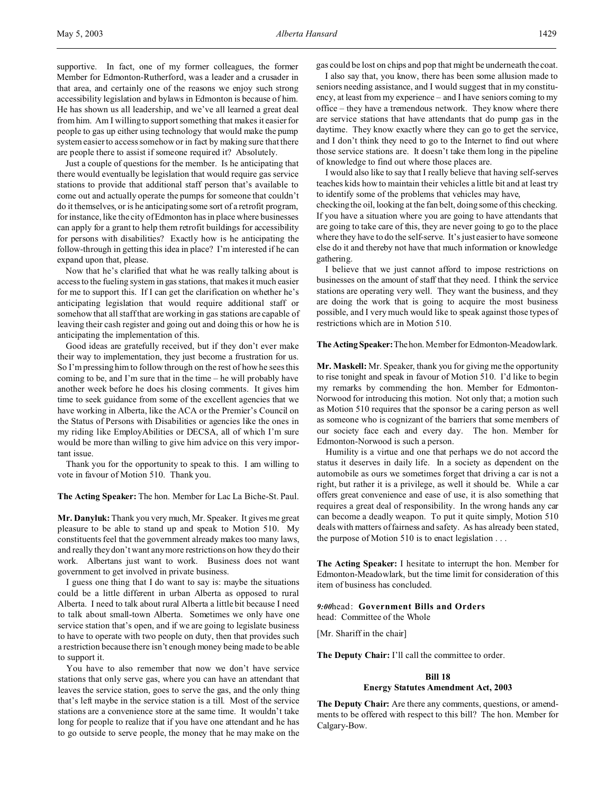supportive. In fact, one of my former colleagues, the former Member for Edmonton-Rutherford, was a leader and a crusader in that area, and certainly one of the reasons we enjoy such strong accessibility legislation and bylaws in Edmonton is because of him. He has shown us all leadership, and we've all learned a great deal from him. Am I willing to support something that makes it easier for people to gas up either using technology that would make the pump system easier to access somehow or in fact by making sure that there are people there to assist if someone required it? Absolutely.

Just a couple of questions for the member. Is he anticipating that there would eventually be legislation that would require gas service stations to provide that additional staff person that's available to come out and actually operate the pumps for someone that couldn't do it themselves, or is he anticipating some sort of a retrofit program, for instance, like the city of Edmonton has in place where businesses can apply for a grant to help them retrofit buildings for accessibility for persons with disabilities? Exactly how is he anticipating the follow-through in getting this idea in place? I'm interested if he can expand upon that, please.

Now that he's clarified that what he was really talking about is access to the fueling system in gas stations, that makes it much easier for me to support this. If I can get the clarification on whether he's anticipating legislation that would require additional staff or somehow that all staff that are working in gas stations are capable of leaving their cash register and going out and doing this or how he is anticipating the implementation of this.

Good ideas are gratefully received, but if they don't ever make their way to implementation, they just become a frustration for us. So I'm pressing him to follow through on the rest of how he sees this coming to be, and I'm sure that in the time – he will probably have another week before he does his closing comments. It gives him time to seek guidance from some of the excellent agencies that we have working in Alberta, like the ACA or the Premier's Council on the Status of Persons with Disabilities or agencies like the ones in my riding like EmployAbilities or DECSA, all of which I'm sure would be more than willing to give him advice on this very important issue.

Thank you for the opportunity to speak to this. I am willing to vote in favour of Motion 510. Thank you.

**The Acting Speaker:** The hon. Member for Lac La Biche-St. Paul.

**Mr. Danyluk:** Thank you very much, Mr. Speaker. It gives me great pleasure to be able to stand up and speak to Motion 510. My constituents feel that the government already makes too many laws, and really they don't want any more restrictions on how they do their work. Albertans just want to work. Business does not want government to get involved in private business.

I guess one thing that I do want to say is: maybe the situations could be a little different in urban Alberta as opposed to rural Alberta. I need to talk about rural Alberta a little bit because I need to talk about small-town Alberta. Sometimes we only have one service station that's open, and if we are going to legislate business to have to operate with two people on duty, then that provides such a restriction because there isn't enough money being made to be able to support it.

You have to also remember that now we don't have service stations that only serve gas, where you can have an attendant that leaves the service station, goes to serve the gas, and the only thing that's left maybe in the service station is a till. Most of the service stations are a convenience store at the same time. It wouldn't take long for people to realize that if you have one attendant and he has to go outside to serve people, the money that he may make on the

gas could be lost on chips and pop that might be underneath the coat.

I also say that, you know, there has been some allusion made to seniors needing assistance, and I would suggest that in my constituency, at least from my experience – and I have seniors coming to my office – they have a tremendous network. They know where there are service stations that have attendants that do pump gas in the daytime. They know exactly where they can go to get the service, and I don't think they need to go to the Internet to find out where those service stations are. It doesn't take them long in the pipeline of knowledge to find out where those places are.

I would also like to say that I really believe that having self-serves teaches kids how to maintain their vehicles a little bit and at least try to identify some of the problems that vehicles may have,

checking the oil, looking at the fan belt, doing some of this checking. If you have a situation where you are going to have attendants that are going to take care of this, they are never going to go to the place where they have to do the self-serve. It's just easier to have someone else do it and thereby not have that much information or knowledge gathering.

I believe that we just cannot afford to impose restrictions on businesses on the amount of staff that they need. I think the service stations are operating very well. They want the business, and they are doing the work that is going to acquire the most business possible, and I very much would like to speak against those types of restrictions which are in Motion 510.

#### **The Acting Speaker:**The hon. Member for Edmonton-Meadowlark.

**Mr. Maskell:** Mr. Speaker, thank you for giving me the opportunity to rise tonight and speak in favour of Motion 510. I'd like to begin my remarks by commending the hon. Member for Edmonton-Norwood for introducing this motion. Not only that; a motion such as Motion 510 requires that the sponsor be a caring person as well as someone who is cognizant of the barriers that some members of our society face each and every day. The hon. Member for Edmonton-Norwood is such a person.

Humility is a virtue and one that perhaps we do not accord the status it deserves in daily life. In a society as dependent on the automobile as ours we sometimes forget that driving a car is not a right, but rather it is a privilege, as well it should be. While a car offers great convenience and ease of use, it is also something that requires a great deal of responsibility. In the wrong hands any car can become a deadly weapon. To put it quite simply, Motion 510 deals with matters of fairness and safety. As has already been stated, the purpose of Motion 510 is to enact legislation . . .

**The Acting Speaker:** I hesitate to interrupt the hon. Member for Edmonton-Meadowlark, but the time limit for consideration of this item of business has concluded.

*9:00*head: **Government Bills and Orders** head: Committee of the Whole

[Mr. Shariff in the chair]

**The Deputy Chair:** I'll call the committee to order.

### **Bill 18**

### **Energy Statutes Amendment Act, 2003**

**The Deputy Chair:** Are there any comments, questions, or amendments to be offered with respect to this bill? The hon. Member for Calgary-Bow.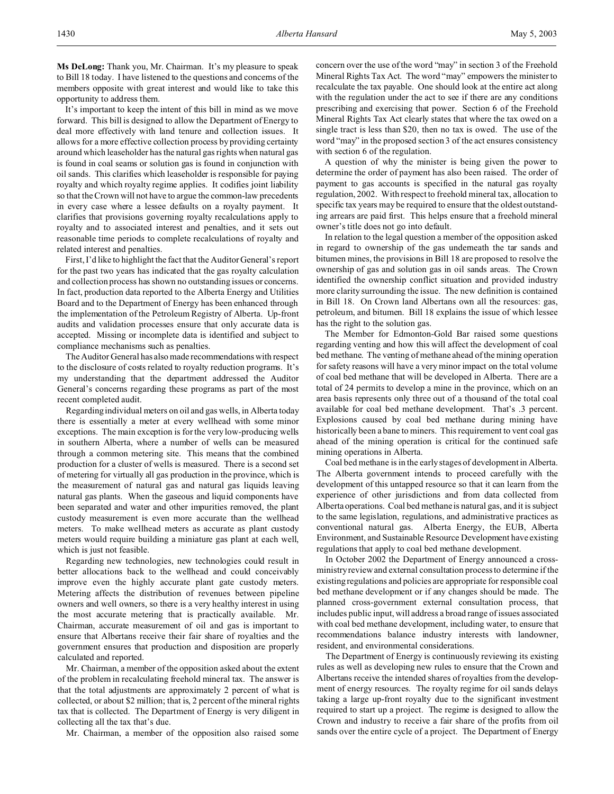It's important to keep the intent of this bill in mind as we move forward. This bill is designed to allow the Department of Energy to deal more effectively with land tenure and collection issues. It allows for a more effective collection process by providing certainty around which leaseholder has the natural gas rights when natural gas is found in coal seams or solution gas is found in conjunction with oil sands. This clarifies which leaseholder is responsible for paying royalty and which royalty regime applies. It codifies joint liability so that the Crown will not have to argue the common-law precedents in every case where a lessee defaults on a royalty payment. It clarifies that provisions governing royalty recalculations apply to royalty and to associated interest and penalties, and it sets out reasonable time periods to complete recalculations of royalty and related interest and penalties.

First, I'd like to highlight the fact that the Auditor General's report for the past two years has indicated that the gas royalty calculation and collection process has shown no outstanding issues or concerns. In fact, production data reported to the Alberta Energy and Utilities Board and to the Department of Energy has been enhanced through the implementation of the Petroleum Registry of Alberta. Up-front audits and validation processes ensure that only accurate data is accepted. Missing or incomplete data is identified and subject to compliance mechanisms such as penalties.

The Auditor General has also made recommendations with respect to the disclosure of costs related to royalty reduction programs. It's my understanding that the department addressed the Auditor General's concerns regarding these programs as part of the most recent completed audit.

Regarding individual meters on oil and gas wells, in Alberta today there is essentially a meter at every wellhead with some minor exceptions. The main exception is for the very low-producing wells in southern Alberta, where a number of wells can be measured through a common metering site. This means that the combined production for a cluster of wells is measured. There is a second set of metering for virtually all gas production in the province, which is the measurement of natural gas and natural gas liquids leaving natural gas plants. When the gaseous and liquid components have been separated and water and other impurities removed, the plant custody measurement is even more accurate than the wellhead meters. To make wellhead meters as accurate as plant custody meters would require building a miniature gas plant at each well, which is just not feasible.

Regarding new technologies, new technologies could result in better allocations back to the wellhead and could conceivably improve even the highly accurate plant gate custody meters. Metering affects the distribution of revenues between pipeline owners and well owners, so there is a very healthy interest in using the most accurate metering that is practically available. Mr. Chairman, accurate measurement of oil and gas is important to ensure that Albertans receive their fair share of royalties and the government ensures that production and disposition are properly calculated and reported.

Mr. Chairman, a member of the opposition asked about the extent of the problem in recalculating freehold mineral tax. The answer is that the total adjustments are approximately 2 percent of what is collected, or about \$2 million; that is, 2 percent of the mineral rights tax that is collected. The Department of Energy is very diligent in collecting all the tax that's due.

Mr. Chairman, a member of the opposition also raised some

concern over the use of the word "may" in section 3 of the Freehold Mineral Rights Tax Act. The word "may" empowers the minister to recalculate the tax payable. One should look at the entire act along with the regulation under the act to see if there are any conditions prescribing and exercising that power. Section 6 of the Freehold Mineral Rights Tax Act clearly states that where the tax owed on a single tract is less than \$20, then no tax is owed. The use of the word "may" in the proposed section 3 of the act ensures consistency with section 6 of the regulation.

A question of why the minister is being given the power to determine the order of payment has also been raised. The order of payment to gas accounts is specified in the natural gas royalty regulation, 2002. With respect to freehold mineral tax, allocation to specific tax years may be required to ensure that the oldest outstanding arrears are paid first. This helps ensure that a freehold mineral owner's title does not go into default.

In relation to the legal question a member of the opposition asked in regard to ownership of the gas underneath the tar sands and bitumen mines, the provisions in Bill 18 are proposed to resolve the ownership of gas and solution gas in oil sands areas. The Crown identified the ownership conflict situation and provided industry more clarity surrounding the issue. The new definition is contained in Bill 18. On Crown land Albertans own all the resources: gas, petroleum, and bitumen. Bill 18 explains the issue of which lessee has the right to the solution gas.

The Member for Edmonton-Gold Bar raised some questions regarding venting and how this will affect the development of coal bed methane. The venting of methane ahead of the mining operation for safety reasons will have a very minor impact on the total volume of coal bed methane that will be developed in Alberta. There are a total of 24 permits to develop a mine in the province, which on an area basis represents only three out of a thousand of the total coal available for coal bed methane development. That's .3 percent. Explosions caused by coal bed methane during mining have historically been a bane to miners. This requirement to vent coal gas ahead of the mining operation is critical for the continued safe mining operations in Alberta.

Coal bed methane is in the early stages of development in Alberta. The Alberta government intends to proceed carefully with the development of this untapped resource so that it can learn from the experience of other jurisdictions and from data collected from Alberta operations. Coal bed methane is natural gas, and it is subject to the same legislation, regulations, and administrative practices as conventional natural gas. Alberta Energy, the EUB, Alberta Environment, and Sustainable Resource Development have existing regulations that apply to coal bed methane development.

In October 2002 the Department of Energy announced a crossministry review and external consultation process to determine if the existing regulations and policies are appropriate for responsible coal bed methane development or if any changes should be made. The planned cross-government external consultation process, that includes public input, will address a broad range of issues associated with coal bed methane development, including water, to ensure that recommendations balance industry interests with landowner, resident, and environmental considerations.

The Department of Energy is continuously reviewing its existing rules as well as developing new rules to ensure that the Crown and Albertans receive the intended shares of royalties from the development of energy resources. The royalty regime for oil sands delays taking a large up-front royalty due to the significant investment required to start up a project. The regime is designed to allow the Crown and industry to receive a fair share of the profits from oil sands over the entire cycle of a project. The Department of Energy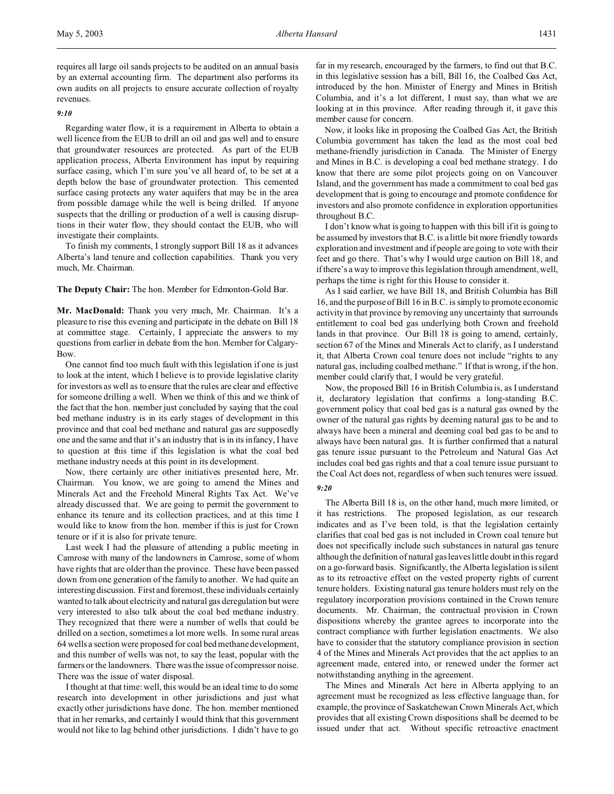requires all large oil sands projects to be audited on an annual basis by an external accounting firm. The department also performs its own audits on all projects to ensure accurate collection of royalty revenues.

## *9:10*

Regarding water flow, it is a requirement in Alberta to obtain a well licence from the EUB to drill an oil and gas well and to ensure that groundwater resources are protected. As part of the EUB application process, Alberta Environment has input by requiring surface casing, which I'm sure you've all heard of, to be set at a depth below the base of groundwater protection. This cemented surface casing protects any water aquifers that may be in the area from possible damage while the well is being drilled. If anyone suspects that the drilling or production of a well is causing disruptions in their water flow, they should contact the EUB, who will investigate their complaints.

To finish my comments, I strongly support Bill 18 as it advances Alberta's land tenure and collection capabilities. Thank you very much, Mr. Chairman.

#### **The Deputy Chair:** The hon. Member for Edmonton-Gold Bar.

**Mr. MacDonald:** Thank you very much, Mr. Chairman. It's a pleasure to rise this evening and participate in the debate on Bill 18 at committee stage. Certainly, I appreciate the answers to my questions from earlier in debate from the hon. Member for Calgary-Bow.

One cannot find too much fault with this legislation if one is just to look at the intent, which I believe is to provide legislative clarity for investors as well as to ensure that the rules are clear and effective for someone drilling a well. When we think of this and we think of the fact that the hon. member just concluded by saying that the coal bed methane industry is in its early stages of development in this province and that coal bed methane and natural gas are supposedly one and the same and that it's an industry that is in its infancy, I have to question at this time if this legislation is what the coal bed methane industry needs at this point in its development.

Now, there certainly are other initiatives presented here, Mr. Chairman. You know, we are going to amend the Mines and Minerals Act and the Freehold Mineral Rights Tax Act. We've already discussed that. We are going to permit the government to enhance its tenure and its collection practices, and at this time I would like to know from the hon. member if this is just for Crown tenure or if it is also for private tenure.

Last week I had the pleasure of attending a public meeting in Camrose with many of the landowners in Camrose, some of whom have rights that are older than the province. These have been passed down from one generation of the family to another. We had quite an interesting discussion. First and foremost, these individuals certainly wanted to talk about electricity and natural gas deregulation but were very interested to also talk about the coal bed methane industry. They recognized that there were a number of wells that could be drilled on a section, sometimes a lot more wells. In some rural areas 64 wells a section were proposed for coal bed methane development, and this number of wells was not, to say the least, popular with the farmers or the landowners. There was the issue of compressor noise. There was the issue of water disposal.

I thought at that time: well, this would be an ideal time to do some research into development in other jurisdictions and just what exactly other jurisdictions have done. The hon. member mentioned that in her remarks, and certainly I would think that this government would not like to lag behind other jurisdictions. I didn't have to go

far in my research, encouraged by the farmers, to find out that B.C. in this legislative session has a bill, Bill 16, the Coalbed Gas Act, introduced by the hon. Minister of Energy and Mines in British Columbia, and it's a lot different, I must say, than what we are looking at in this province. After reading through it, it gave this member cause for concern.

Now, it looks like in proposing the Coalbed Gas Act, the British Columbia government has taken the lead as the most coal bed methane-friendly jurisdiction in Canada. The Minister of Energy and Mines in B.C. is developing a coal bed methane strategy. I do know that there are some pilot projects going on on Vancouver Island, and the government has made a commitment to coal bed gas development that is going to encourage and promote confidence for investors and also promote confidence in exploration opportunities throughout B.C.

I don't know what is going to happen with this bill if it is going to be assumed by investors that B.C. is a little bit more friendly towards exploration and investment and if people are going to vote with their feet and go there. That's why I would urge caution on Bill 18, and if there's a way to improve this legislation through amendment, well, perhaps the time is right for this House to consider it.

As I said earlier, we have Bill 18, and British Columbia has Bill 16, and the purpose of Bill 16 in B.C. is simply to promote economic activity in that province by removing any uncertainty that surrounds entitlement to coal bed gas underlying both Crown and freehold lands in that province. Our Bill 18 is going to amend, certainly, section 67 of the Mines and Minerals Act to clarify, as I understand it, that Alberta Crown coal tenure does not include "rights to any natural gas, including coalbed methane." If that is wrong, if the hon. member could clarify that, I would be very grateful.

Now, the proposed Bill 16 in British Columbia is, as I understand it, declaratory legislation that confirms a long-standing B.C. government policy that coal bed gas is a natural gas owned by the owner of the natural gas rights by deeming natural gas to be and to always have been a mineral and deeming coal bed gas to be and to always have been natural gas. It is further confirmed that a natural gas tenure issue pursuant to the Petroleum and Natural Gas Act includes coal bed gas rights and that a coal tenure issue pursuant to the Coal Act does not, regardless of when such tenures were issued.

#### *9:20*

The Alberta Bill 18 is, on the other hand, much more limited, or it has restrictions. The proposed legislation, as our research indicates and as I've been told, is that the legislation certainly clarifies that coal bed gas is not included in Crown coal tenure but does not specifically include such substances in natural gas tenure although the definition of natural gas leaves little doubt in this regard on a go-forward basis. Significantly, the Alberta legislation is silent as to its retroactive effect on the vested property rights of current tenure holders. Existing natural gas tenure holders must rely on the regulatory incorporation provisions contained in the Crown tenure documents. Mr. Chairman, the contractual provision in Crown dispositions whereby the grantee agrees to incorporate into the contract compliance with further legislation enactments. We also have to consider that the statutory compliance provision in section 4 of the Mines and Minerals Act provides that the act applies to an agreement made, entered into, or renewed under the former act notwithstanding anything in the agreement.

The Mines and Minerals Act here in Alberta applying to an agreement must be recognized as less effective language than, for example, the province of Saskatchewan Crown Minerals Act, which provides that all existing Crown dispositions shall be deemed to be issued under that act. Without specific retroactive enactment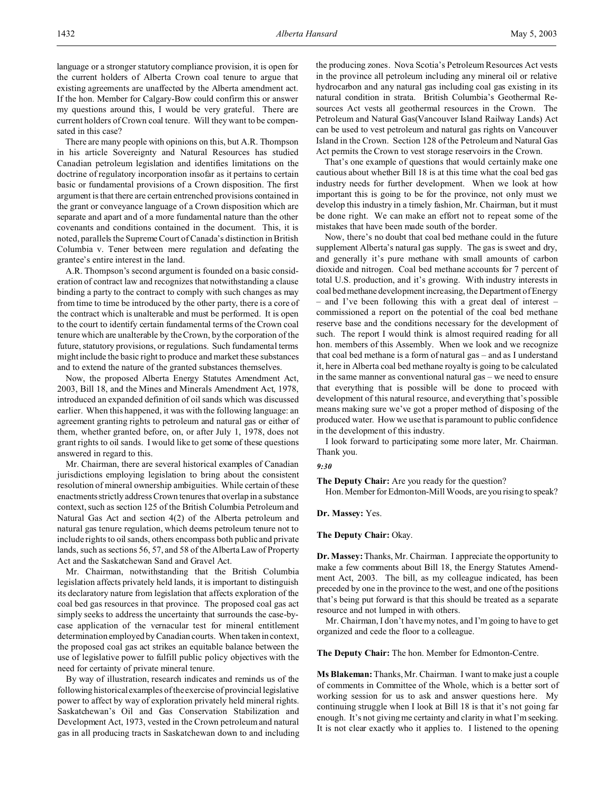language or a stronger statutory compliance provision, it is open for the current holders of Alberta Crown coal tenure to argue that existing agreements are unaffected by the Alberta amendment act. If the hon. Member for Calgary-Bow could confirm this or answer my questions around this, I would be very grateful. There are current holders of Crown coal tenure. Will they want to be compensated in this case?

There are many people with opinions on this, but A.R. Thompson in his article Sovereignty and Natural Resources has studied Canadian petroleum legislation and identifies limitations on the doctrine of regulatory incorporation insofar as it pertains to certain basic or fundamental provisions of a Crown disposition. The first argument is that there are certain entrenched provisions contained in the grant or conveyance language of a Crown disposition which are separate and apart and of a more fundamental nature than the other covenants and conditions contained in the document. This, it is noted, parallels the Supreme Court of Canada's distinction in British Columbia v. Tener between mere regulation and defeating the grantee's entire interest in the land.

A.R. Thompson's second argument is founded on a basic consideration of contract law and recognizes that notwithstanding a clause binding a party to the contract to comply with such changes as may from time to time be introduced by the other party, there is a core of the contract which is unalterable and must be performed. It is open to the court to identify certain fundamental terms of the Crown coal tenure which are unalterable by the Crown, by the corporation of the future, statutory provisions, or regulations. Such fundamental terms might include the basic right to produce and market these substances and to extend the nature of the granted substances themselves.

Now, the proposed Alberta Energy Statutes Amendment Act, 2003, Bill 18, and the Mines and Minerals Amendment Act, 1978, introduced an expanded definition of oil sands which was discussed earlier. When this happened, it was with the following language: an agreement granting rights to petroleum and natural gas or either of them, whether granted before, on, or after July 1, 1978, does not grant rights to oil sands. I would like to get some of these questions answered in regard to this.

Mr. Chairman, there are several historical examples of Canadian jurisdictions employing legislation to bring about the consistent resolution of mineral ownership ambiguities. While certain of these enactments strictly address Crown tenures that overlap in a substance context, such as section 125 of the British Columbia Petroleum and Natural Gas Act and section 4(2) of the Alberta petroleum and natural gas tenure regulation, which deems petroleum tenure not to include rights to oil sands, others encompass both public and private lands, such as sections 56, 57, and 58 of the Alberta Law of Property Act and the Saskatchewan Sand and Gravel Act.

Mr. Chairman, notwithstanding that the British Columbia legislation affects privately held lands, it is important to distinguish its declaratory nature from legislation that affects exploration of the coal bed gas resources in that province. The proposed coal gas act simply seeks to address the uncertainty that surrounds the case-bycase application of the vernacular test for mineral entitlement determination employed by Canadian courts. When taken in context, the proposed coal gas act strikes an equitable balance between the use of legislative power to fulfill public policy objectives with the need for certainty of private mineral tenure.

By way of illustration, research indicates and reminds us of the following historical examples of the exercise of provincial legislative power to affect by way of exploration privately held mineral rights. Saskatchewan's Oil and Gas Conservation Stabilization and Development Act, 1973, vested in the Crown petroleum and natural gas in all producing tracts in Saskatchewan down to and including the producing zones. Nova Scotia's Petroleum Resources Act vests in the province all petroleum including any mineral oil or relative hydrocarbon and any natural gas including coal gas existing in its natural condition in strata. British Columbia's Geothermal Resources Act vests all geothermal resources in the Crown. The Petroleum and Natural Gas(Vancouver Island Railway Lands) Act can be used to vest petroleum and natural gas rights on Vancouver Island in the Crown. Section 128 of the Petroleum and Natural Gas Act permits the Crown to vest storage reservoirs in the Crown.

That's one example of questions that would certainly make one cautious about whether Bill 18 is at this time what the coal bed gas industry needs for further development. When we look at how important this is going to be for the province, not only must we develop this industry in a timely fashion, Mr. Chairman, but it must be done right. We can make an effort not to repeat some of the mistakes that have been made south of the border.

Now, there's no doubt that coal bed methane could in the future supplement Alberta's natural gas supply. The gas is sweet and dry, and generally it's pure methane with small amounts of carbon dioxide and nitrogen. Coal bed methane accounts for 7 percent of total U.S. production, and it's growing. With industry interests in coal bed methane development increasing, the Department of Energy – and I've been following this with a great deal of interest – commissioned a report on the potential of the coal bed methane reserve base and the conditions necessary for the development of such. The report I would think is almost required reading for all hon. members of this Assembly. When we look and we recognize that coal bed methane is a form of natural gas – and as I understand it, here in Alberta coal bed methane royalty is going to be calculated in the same manner as conventional natural gas – we need to ensure that everything that is possible will be done to proceed with development of this natural resource, and everything that's possible means making sure we've got a proper method of disposing of the produced water. How we use that is paramount to public confidence in the development of this industry.

I look forward to participating some more later, Mr. Chairman. Thank you.

### *9:30*

**The Deputy Chair:** Are you ready for the question? Hon. Member for Edmonton-Mill Woods, are you rising to speak?

**Dr. Massey:** Yes.

**The Deputy Chair:** Okay.

**Dr. Massey:** Thanks, Mr. Chairman. I appreciate the opportunity to make a few comments about Bill 18, the Energy Statutes Amendment Act, 2003. The bill, as my colleague indicated, has been preceded by one in the province to the west, and one of the positions that's being put forward is that this should be treated as a separate resource and not lumped in with others.

Mr. Chairman, I don't have my notes, and I'm going to have to get organized and cede the floor to a colleague.

**The Deputy Chair:** The hon. Member for Edmonton-Centre.

**Ms Blakeman:** Thanks, Mr. Chairman. I want to make just a couple of comments in Committee of the Whole, which is a better sort of working session for us to ask and answer questions here. My continuing struggle when I look at Bill 18 is that it's not going far enough. It's not giving me certainty and clarity in what I'm seeking. It is not clear exactly who it applies to. I listened to the opening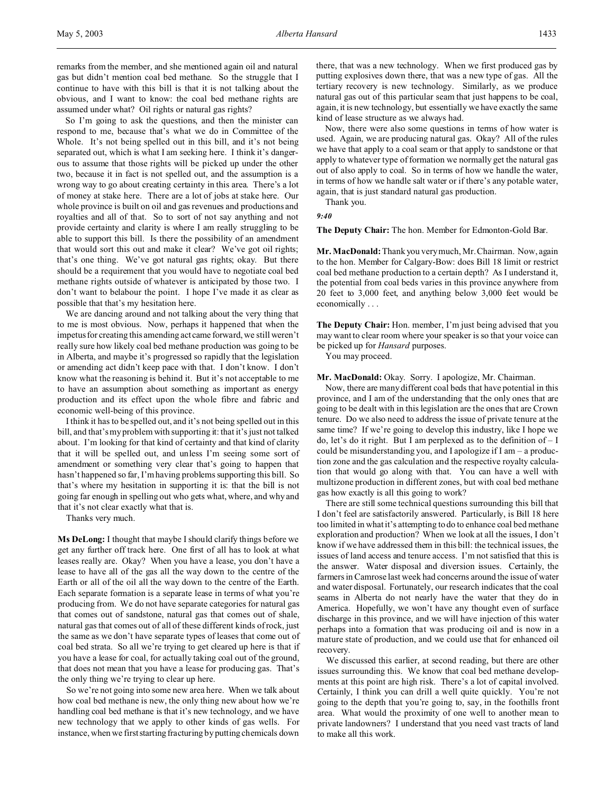remarks from the member, and she mentioned again oil and natural gas but didn't mention coal bed methane. So the struggle that I continue to have with this bill is that it is not talking about the obvious, and I want to know: the coal bed methane rights are assumed under what? Oil rights or natural gas rights?

So I'm going to ask the questions, and then the minister can respond to me, because that's what we do in Committee of the Whole. It's not being spelled out in this bill, and it's not being separated out, which is what I am seeking here. I think it's dangerous to assume that those rights will be picked up under the other two, because it in fact is not spelled out, and the assumption is a wrong way to go about creating certainty in this area. There's a lot of money at stake here. There are a lot of jobs at stake here. Our whole province is built on oil and gas revenues and productions and royalties and all of that. So to sort of not say anything and not provide certainty and clarity is where I am really struggling to be able to support this bill. Is there the possibility of an amendment that would sort this out and make it clear? We've got oil rights; that's one thing. We've got natural gas rights; okay. But there should be a requirement that you would have to negotiate coal bed methane rights outside of whatever is anticipated by those two. I don't want to belabour the point. I hope I've made it as clear as possible that that's my hesitation here.

We are dancing around and not talking about the very thing that to me is most obvious. Now, perhaps it happened that when the impetus for creating this amending act came forward, we still weren't really sure how likely coal bed methane production was going to be in Alberta, and maybe it's progressed so rapidly that the legislation or amending act didn't keep pace with that. I don't know. I don't know what the reasoning is behind it. But it's not acceptable to me to have an assumption about something as important as energy production and its effect upon the whole fibre and fabric and economic well-being of this province.

I think it has to be spelled out, and it's not being spelled out in this bill, and that's my problem with supporting it: that it's just not talked about. I'm looking for that kind of certainty and that kind of clarity that it will be spelled out, and unless I'm seeing some sort of amendment or something very clear that's going to happen that hasn't happened so far, I'm having problems supporting this bill. So that's where my hesitation in supporting it is: that the bill is not going far enough in spelling out who gets what, where, and why and that it's not clear exactly what that is.

Thanks very much.

**Ms DeLong:** I thought that maybe I should clarify things before we get any further off track here. One first of all has to look at what leases really are. Okay? When you have a lease, you don't have a lease to have all of the gas all the way down to the centre of the Earth or all of the oil all the way down to the centre of the Earth. Each separate formation is a separate lease in terms of what you're producing from. We do not have separate categories for natural gas that comes out of sandstone, natural gas that comes out of shale, natural gas that comes out of all of these different kinds of rock, just the same as we don't have separate types of leases that come out of coal bed strata. So all we're trying to get cleared up here is that if you have a lease for coal, for actually taking coal out of the ground, that does not mean that you have a lease for producing gas. That's the only thing we're trying to clear up here.

So we're not going into some new area here. When we talk about how coal bed methane is new, the only thing new about how we're handling coal bed methane is that it's new technology, and we have new technology that we apply to other kinds of gas wells. For instance, when we first starting fracturing by putting chemicals down

there, that was a new technology. When we first produced gas by putting explosives down there, that was a new type of gas. All the tertiary recovery is new technology. Similarly, as we produce natural gas out of this particular seam that just happens to be coal, again, it is new technology, but essentially we have exactly the same kind of lease structure as we always had.

Now, there were also some questions in terms of how water is used. Again, we are producing natural gas. Okay? All of the rules we have that apply to a coal seam or that apply to sandstone or that apply to whatever type of formation we normally get the natural gas out of also apply to coal. So in terms of how we handle the water, in terms of how we handle salt water or if there's any potable water, again, that is just standard natural gas production. Thank you.

*9:40*

**The Deputy Chair:** The hon. Member for Edmonton-Gold Bar.

**Mr. MacDonald:** Thank you very much, Mr. Chairman. Now, again to the hon. Member for Calgary-Bow: does Bill 18 limit or restrict coal bed methane production to a certain depth? As I understand it, the potential from coal beds varies in this province anywhere from 20 feet to 3,000 feet, and anything below 3,000 feet would be economically . . .

**The Deputy Chair:** Hon. member, I'm just being advised that you may want to clear room where your speaker is so that your voice can be picked up for *Hansard* purposes.

You may proceed.

**Mr. MacDonald:** Okay. Sorry. I apologize, Mr. Chairman.

Now, there are many different coal beds that have potential in this province, and I am of the understanding that the only ones that are going to be dealt with in this legislation are the ones that are Crown tenure. Do we also need to address the issue of private tenure at the same time? If we're going to develop this industry, like I hope we do, let's do it right. But I am perplexed as to the definition of – I could be misunderstanding you, and I apologize if I am – a production zone and the gas calculation and the respective royalty calculation that would go along with that. You can have a well with multizone production in different zones, but with coal bed methane gas how exactly is all this going to work?

There are still some technical questions surrounding this bill that I don't feel are satisfactorily answered. Particularly, is Bill 18 here too limited in what it's attempting to do to enhance coal bed methane exploration and production? When we look at all the issues, I don't know if we have addressed them in this bill: the technical issues, the issues of land access and tenure access. I'm not satisfied that this is the answer. Water disposal and diversion issues. Certainly, the farmers in Camrose last week had concerns around the issue of water and water disposal. Fortunately, our research indicates that the coal seams in Alberta do not nearly have the water that they do in America. Hopefully, we won't have any thought even of surface discharge in this province, and we will have injection of this water perhaps into a formation that was producing oil and is now in a mature state of production, and we could use that for enhanced oil recovery.

We discussed this earlier, at second reading, but there are other issues surrounding this. We know that coal bed methane developments at this point are high risk. There's a lot of capital involved. Certainly, I think you can drill a well quite quickly. You're not going to the depth that you're going to, say, in the foothills front area. What would the proximity of one well to another mean to private landowners? I understand that you need vast tracts of land to make all this work.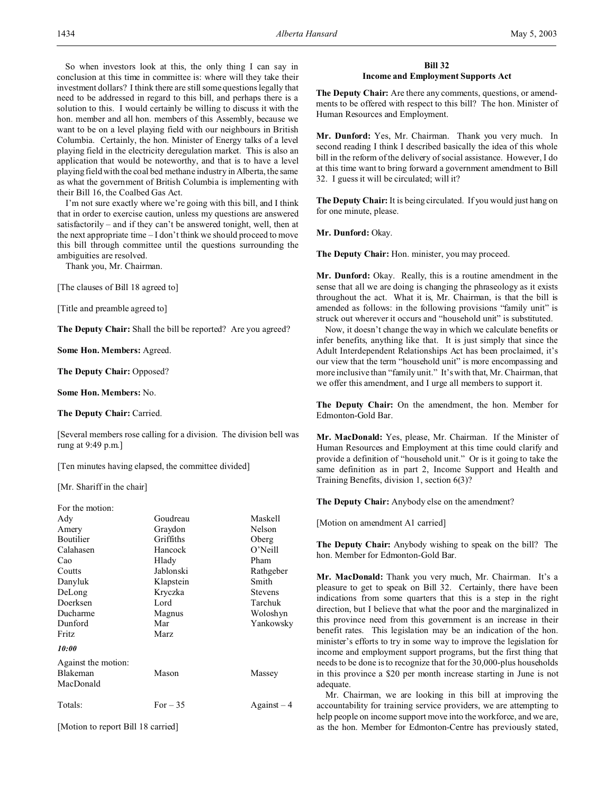So when investors look at this, the only thing I can say in conclusion at this time in committee is: where will they take their investment dollars? I think there are still some questions legally that need to be addressed in regard to this bill, and perhaps there is a solution to this. I would certainly be willing to discuss it with the hon. member and all hon. members of this Assembly, because we want to be on a level playing field with our neighbours in British Columbia. Certainly, the hon. Minister of Energy talks of a level playing field in the electricity deregulation market. This is also an application that would be noteworthy, and that is to have a level playing field with the coal bed methane industry in Alberta, the same as what the government of British Columbia is implementing with their Bill 16, the Coalbed Gas Act.

I'm not sure exactly where we're going with this bill, and I think that in order to exercise caution, unless my questions are answered satisfactorily – and if they can't be answered tonight, well, then at the next appropriate time – I don't think we should proceed to move this bill through committee until the questions surrounding the ambiguities are resolved.

Thank you, Mr. Chairman.

[The clauses of Bill 18 agreed to]

[Title and preamble agreed to]

**The Deputy Chair:** Shall the bill be reported? Are you agreed?

**Some Hon. Members:** Agreed.

**The Deputy Chair:** Opposed?

**Some Hon. Members:** No.

**The Deputy Chair:** Carried.

[Several members rose calling for a division. The division bell was rung at 9:49 p.m.]

[Ten minutes having elapsed, the committee divided]

[Mr. Shariff in the chair]

| For the motion:     |             |                |
|---------------------|-------------|----------------|
| Ady                 | Goudreau    | Maskell        |
| Amery               | Graydon     | Nelson         |
| <b>Boutilier</b>    | Griffiths   | Oberg          |
| Calahasen           | Hancock     | $O'$ Neill     |
| Cao                 | Hlady       | Pham           |
| Coutts              | Jablonski   | Rathgeber      |
| Danyluk             | Klapstein   | Smith          |
| DeLong              | Kryczka     | <b>Stevens</b> |
| Doerksen            | Lord        | Tarchuk        |
| Ducharme            | Magnus      | Woloshyn       |
| Dunford             | Mar         | Yankowsky      |
| Fritz               | <b>Marz</b> |                |
| 10:00               |             |                |
| Against the motion: |             |                |
| Blakeman            | Mason       | Massey         |
| MacDonald           |             |                |
| Totals:             | For $-35$   | $Against-4$    |
|                     |             |                |

[Motion to report Bill 18 carried]

## **Bill 32 Income and Employment Supports Act**

**The Deputy Chair:** Are there any comments, questions, or amendments to be offered with respect to this bill? The hon. Minister of Human Resources and Employment.

**Mr. Dunford:** Yes, Mr. Chairman. Thank you very much. In second reading I think I described basically the idea of this whole bill in the reform of the delivery of social assistance. However, I do at this time want to bring forward a government amendment to Bill 32. I guess it will be circulated; will it?

**The Deputy Chair:** It is being circulated. If you would just hang on for one minute, please.

**Mr. Dunford:** Okay.

**The Deputy Chair:** Hon. minister, you may proceed.

**Mr. Dunford:** Okay. Really, this is a routine amendment in the sense that all we are doing is changing the phraseology as it exists throughout the act. What it is, Mr. Chairman, is that the bill is amended as follows: in the following provisions "family unit" is struck out wherever it occurs and "household unit" is substituted.

Now, it doesn't change the way in which we calculate benefits or infer benefits, anything like that. It is just simply that since the Adult Interdependent Relationships Act has been proclaimed, it's our view that the term "household unit" is more encompassing and more inclusive than "family unit." It's with that, Mr. Chairman, that we offer this amendment, and I urge all members to support it.

**The Deputy Chair:** On the amendment, the hon. Member for Edmonton-Gold Bar.

**Mr. MacDonald:** Yes, please, Mr. Chairman. If the Minister of Human Resources and Employment at this time could clarify and provide a definition of "household unit." Or is it going to take the same definition as in part 2, Income Support and Health and Training Benefits, division 1, section 6(3)?

**The Deputy Chair:** Anybody else on the amendment?

[Motion on amendment A1 carried]

**The Deputy Chair:** Anybody wishing to speak on the bill? The hon. Member for Edmonton-Gold Bar.

**Mr. MacDonald:** Thank you very much, Mr. Chairman. It's a pleasure to get to speak on Bill 32. Certainly, there have been indications from some quarters that this is a step in the right direction, but I believe that what the poor and the marginalized in this province need from this government is an increase in their benefit rates. This legislation may be an indication of the hon. minister's efforts to try in some way to improve the legislation for income and employment support programs, but the first thing that needs to be done is to recognize that for the 30,000-plus households in this province a \$20 per month increase starting in June is not adequate.

Mr. Chairman, we are looking in this bill at improving the accountability for training service providers, we are attempting to help people on income support move into the workforce, and we are, as the hon. Member for Edmonton-Centre has previously stated,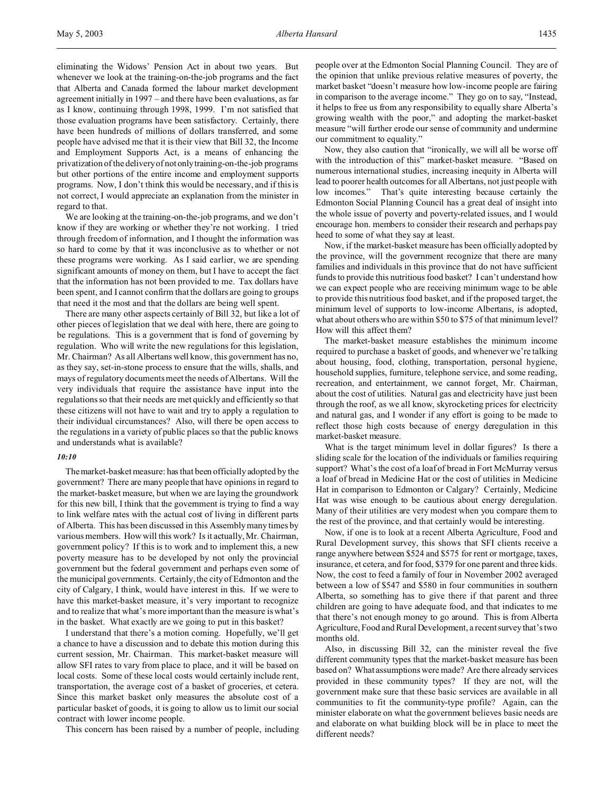eliminating the Widows' Pension Act in about two years. But whenever we look at the training-on-the-job programs and the fact that Alberta and Canada formed the labour market development agreement initially in 1997 – and there have been evaluations, as far as I know, continuing through 1998, 1999. I'm not satisfied that those evaluation programs have been satisfactory. Certainly, there have been hundreds of millions of dollars transferred, and some people have advised me that it is their view that Bill 32, the Income and Employment Supports Act, is a means of enhancing the privatization of the delivery of not onlytraining-on-the-job programs but other portions of the entire income and employment supports programs. Now, I don't think this would be necessary, and if this is not correct, I would appreciate an explanation from the minister in regard to that.

We are looking at the training-on-the-job programs, and we don't know if they are working or whether they're not working. I tried through freedom of information, and I thought the information was so hard to come by that it was inconclusive as to whether or not these programs were working. As I said earlier, we are spending significant amounts of money on them, but I have to accept the fact that the information has not been provided to me. Tax dollars have been spent, and I cannot confirm that the dollars are going to groups that need it the most and that the dollars are being well spent.

There are many other aspects certainly of Bill 32, but like a lot of other pieces of legislation that we deal with here, there are going to be regulations. This is a government that is fond of governing by regulation. Who will write the new regulations for this legislation, Mr. Chairman? As all Albertans well know, this government has no, as they say, set-in-stone process to ensure that the wills, shalls, and mays of regulatory documents meet the needs of Albertans. Will the very individuals that require the assistance have input into the regulations so that their needs are met quickly and efficiently so that these citizens will not have to wait and try to apply a regulation to their individual circumstances? Also, will there be open access to the regulations in a variety of public places so that the public knows and understands what is available?

### *10:10*

Themarket-basket measure: has that been officially adopted by the government? There are many people that have opinions in regard to the market-basket measure, but when we are laying the groundwork for this new bill, I think that the government is trying to find a way to link welfare rates with the actual cost of living in different parts of Alberta. This has been discussed in this Assembly many times by various members. How will this work? Is it actually, Mr. Chairman, government policy? If this is to work and to implement this, a new poverty measure has to be developed by not only the provincial government but the federal government and perhaps even some of the municipal governments. Certainly, the city of Edmonton and the city of Calgary, I think, would have interest in this. If we were to have this market-basket measure, it's very important to recognize and to realize that what's more important than the measure is what's in the basket. What exactly are we going to put in this basket?

I understand that there's a motion coming. Hopefully, we'll get a chance to have a discussion and to debate this motion during this current session, Mr. Chairman. This market-basket measure will allow SFI rates to vary from place to place, and it will be based on local costs. Some of these local costs would certainly include rent, transportation, the average cost of a basket of groceries, et cetera. Since this market basket only measures the absolute cost of a particular basket of goods, it is going to allow us to limit our social contract with lower income people.

This concern has been raised by a number of people, including

people over at the Edmonton Social Planning Council. They are of the opinion that unlike previous relative measures of poverty, the market basket "doesn't measure how low-income people are fairing in comparison to the average income." They go on to say, "Instead, it helps to free us from any responsibility to equally share Alberta's growing wealth with the poor," and adopting the market-basket measure "will further erode our sense of community and undermine our commitment to equality."

Now, they also caution that "ironically, we will all be worse off with the introduction of this" market-basket measure. "Based on numerous international studies, increasing inequity in Alberta will lead to poorer health outcomes for all Albertans, not just people with low incomes." That's quite interesting because certainly the Edmonton Social Planning Council has a great deal of insight into the whole issue of poverty and poverty-related issues, and I would encourage hon. members to consider their research and perhaps pay heed to some of what they say at least.

Now, if the market-basket measure has been officially adopted by the province, will the government recognize that there are many families and individuals in this province that do not have sufficient funds to provide this nutritious food basket? I can't understand how we can expect people who are receiving minimum wage to be able to provide this nutritious food basket, and if the proposed target, the minimum level of supports to low-income Albertans, is adopted, what about others who are within \$50 to \$75 of that minimum level? How will this affect them?

The market-basket measure establishes the minimum income required to purchase a basket of goods, and whenever we're talking about housing, food, clothing, transportation, personal hygiene, household supplies, furniture, telephone service, and some reading, recreation, and entertainment, we cannot forget, Mr. Chairman, about the cost of utilities. Natural gas and electricity have just been through the roof, as we all know, skyrocketing prices for electricity and natural gas, and I wonder if any effort is going to be made to reflect those high costs because of energy deregulation in this market-basket measure.

What is the target minimum level in dollar figures? Is there a sliding scale for the location of the individuals or families requiring support? What's the cost of a loaf of bread in Fort McMurray versus a loaf of bread in Medicine Hat or the cost of utilities in Medicine Hat in comparison to Edmonton or Calgary? Certainly, Medicine Hat was wise enough to be cautious about energy deregulation. Many of their utilities are very modest when you compare them to the rest of the province, and that certainly would be interesting.

Now, if one is to look at a recent Alberta Agriculture, Food and Rural Development survey, this shows that SFI clients receive a range anywhere between \$524 and \$575 for rent or mortgage, taxes, insurance, et cetera, and for food, \$379 for one parent and three kids. Now, the cost to feed a family of four in November 2002 averaged between a low of \$547 and \$580 in four communities in southern Alberta, so something has to give there if that parent and three children are going to have adequate food, and that indicates to me that there's not enough money to go around. This is from Alberta Agriculture, Food and Rural Development, a recent survey that's two months old.

Also, in discussing Bill 32, can the minister reveal the five different community types that the market-basket measure has been based on? What assumptions were made? Are there already services provided in these community types? If they are not, will the government make sure that these basic services are available in all communities to fit the community-type profile? Again, can the minister elaborate on what the government believes basic needs are and elaborate on what building block will be in place to meet the different needs?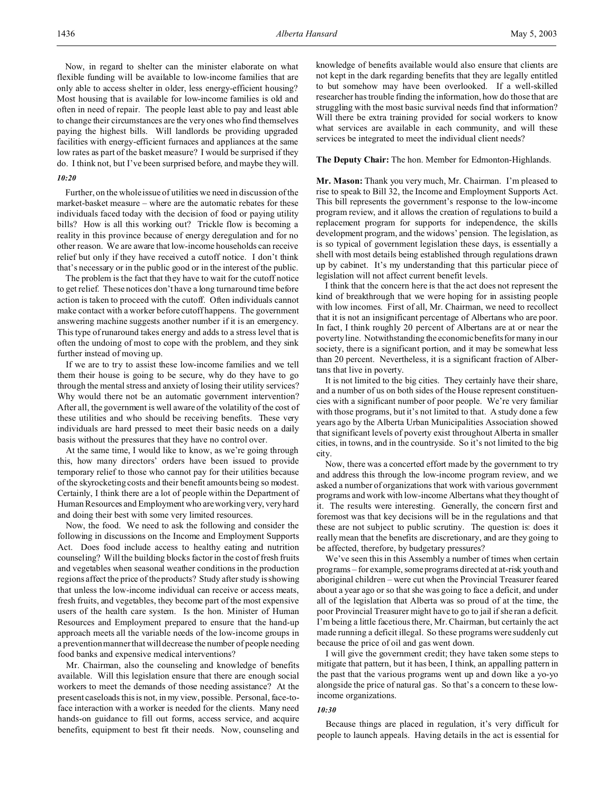Now, in regard to shelter can the minister elaborate on what flexible funding will be available to low-income families that are only able to access shelter in older, less energy-efficient housing? Most housing that is available for low-income families is old and often in need of repair. The people least able to pay and least able to change their circumstances are the very ones who find themselves paying the highest bills. Will landlords be providing upgraded facilities with energy-efficient furnaces and appliances at the same low rates as part of the basket measure? I would be surprised if they do. I think not, but I've been surprised before, and maybe they will.

## *10:20*

Further, on the whole issue of utilities we need in discussion of the market-basket measure – where are the automatic rebates for these individuals faced today with the decision of food or paying utility bills? How is all this working out? Trickle flow is becoming a reality in this province because of energy deregulation and for no other reason. We are aware that low-income households can receive relief but only if they have received a cutoff notice. I don't think that's necessary or in the public good or in the interest of the public.

The problem is the fact that they have to wait for the cutoff notice to get relief. These notices don't have a long turnaround time before action is taken to proceed with the cutoff. Often individuals cannot make contact with a worker before cutoff happens. The government answering machine suggests another number if it is an emergency. This type of runaround takes energy and adds to a stress level that is often the undoing of most to cope with the problem, and they sink further instead of moving up.

If we are to try to assist these low-income families and we tell them their house is going to be secure, why do they have to go through the mental stress and anxiety of losing their utility services? Why would there not be an automatic government intervention? After all, the government is well aware of the volatility of the cost of these utilities and who should be receiving benefits. These very individuals are hard pressed to meet their basic needs on a daily basis without the pressures that they have no control over.

At the same time, I would like to know, as we're going through this, how many directors' orders have been issued to provide temporary relief to those who cannot pay for their utilities because of the skyrocketing costs and their benefit amounts being so modest. Certainly, I think there are a lot of people within the Department of Human Resources and Employment who are working very, very hard and doing their best with some very limited resources.

Now, the food. We need to ask the following and consider the following in discussions on the Income and Employment Supports Act. Does food include access to healthy eating and nutrition counseling? Will the building blocks factor in the cost of fresh fruits and vegetables when seasonal weather conditions in the production regions affect the price of the products? Study after study is showing that unless the low-income individual can receive or access meats, fresh fruits, and vegetables, they become part of the most expensive users of the health care system. Is the hon. Minister of Human Resources and Employment prepared to ensure that the hand-up approach meets all the variable needs of the low-income groups in a prevention manner that will decrease the number of people needing food banks and expensive medical interventions?

Mr. Chairman, also the counseling and knowledge of benefits available. Will this legislation ensure that there are enough social workers to meet the demands of those needing assistance? At the present caseloads this is not, in my view, possible. Personal, face-toface interaction with a worker is needed for the clients. Many need hands-on guidance to fill out forms, access service, and acquire benefits, equipment to best fit their needs. Now, counseling and

knowledge of benefits available would also ensure that clients are not kept in the dark regarding benefits that they are legally entitled to but somehow may have been overlooked. If a well-skilled researcher has trouble finding the information, how do those that are struggling with the most basic survival needs find that information? Will there be extra training provided for social workers to know what services are available in each community, and will these services be integrated to meet the individual client needs?

### **The Deputy Chair:** The hon. Member for Edmonton-Highlands.

**Mr. Mason:** Thank you very much, Mr. Chairman. I'm pleased to rise to speak to Bill 32, the Income and Employment Supports Act. This bill represents the government's response to the low-income program review, and it allows the creation of regulations to build a replacement program for supports for independence, the skills development program, and the widows' pension. The legislation, as is so typical of government legislation these days, is essentially a shell with most details being established through regulations drawn up by cabinet. It's my understanding that this particular piece of legislation will not affect current benefit levels.

I think that the concern here is that the act does not represent the kind of breakthrough that we were hoping for in assisting people with low incomes. First of all, Mr. Chairman, we need to recollect that it is not an insignificant percentage of Albertans who are poor. In fact, I think roughly 20 percent of Albertans are at or near the poverty line. Notwithstanding the economic benefits for many in our society, there is a significant portion, and it may be somewhat less than 20 percent. Nevertheless, it is a significant fraction of Albertans that live in poverty.

It is not limited to the big cities. They certainly have their share, and a number of us on both sides of the House represent constituencies with a significant number of poor people. We're very familiar with those programs, but it's not limited to that. A study done a few years ago by the Alberta Urban Municipalities Association showed that significant levels of poverty exist throughout Alberta in smaller cities, in towns, and in the countryside. So it's not limited to the big city.

Now, there was a concerted effort made by the government to try and address this through the low-income program review, and we asked a number of organizations that work with various government programs and work with low-income Albertans what they thought of it. The results were interesting. Generally, the concern first and foremost was that key decisions will be in the regulations and that these are not subject to public scrutiny. The question is: does it really mean that the benefits are discretionary, and are they going to be affected, therefore, by budgetary pressures?

We've seen this in this Assembly a number of times when certain programs – for example, some programs directed at at-risk youth and aboriginal children – were cut when the Provincial Treasurer feared about a year ago or so that she was going to face a deficit, and under all of the legislation that Alberta was so proud of at the time, the poor Provincial Treasurer might have to go to jail if she ran a deficit. I'm being a little facetious there, Mr. Chairman, but certainly the act made running a deficit illegal. So these programs were suddenly cut because the price of oil and gas went down.

I will give the government credit; they have taken some steps to mitigate that pattern, but it has been, I think, an appalling pattern in the past that the various programs went up and down like a yo-yo alongside the price of natural gas. So that's a concern to these lowincome organizations.

### *10:30*

Because things are placed in regulation, it's very difficult for people to launch appeals. Having details in the act is essential for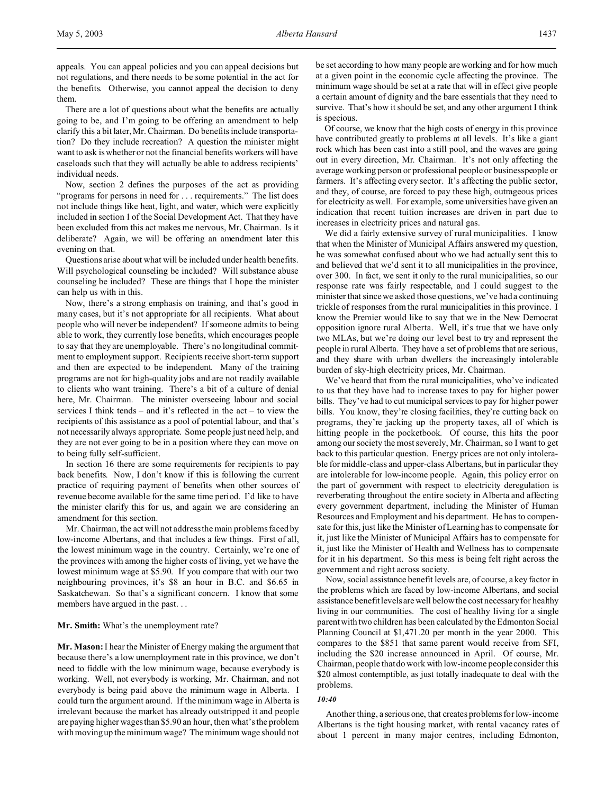appeals. You can appeal policies and you can appeal decisions but not regulations, and there needs to be some potential in the act for the benefits. Otherwise, you cannot appeal the decision to deny them.

There are a lot of questions about what the benefits are actually going to be, and I'm going to be offering an amendment to help clarify this a bit later, Mr. Chairman. Do benefits include transportation? Do they include recreation? A question the minister might want to ask is whether or not the financial benefits workers will have caseloads such that they will actually be able to address recipients' individual needs.

Now, section 2 defines the purposes of the act as providing "programs for persons in need for . . . requirements." The list does not include things like heat, light, and water, which were explicitly included in section 1 of the Social Development Act. That they have been excluded from this act makes me nervous, Mr. Chairman. Is it deliberate? Again, we will be offering an amendment later this evening on that.

Questions arise about what will be included under health benefits. Will psychological counseling be included? Will substance abuse counseling be included? These are things that I hope the minister can help us with in this.

Now, there's a strong emphasis on training, and that's good in many cases, but it's not appropriate for all recipients. What about people who will never be independent? If someone admits to being able to work, they currently lose benefits, which encourages people to say that they are unemployable. There's no longitudinal commitment to employment support. Recipients receive short-term support and then are expected to be independent. Many of the training programs are not for high-quality jobs and are not readily available to clients who want training. There's a bit of a culture of denial here, Mr. Chairman. The minister overseeing labour and social services I think tends – and it's reflected in the act – to view the recipients of this assistance as a pool of potential labour, and that's not necessarily always appropriate. Some people just need help, and they are not ever going to be in a position where they can move on to being fully self-sufficient.

In section 16 there are some requirements for recipients to pay back benefits. Now, I don't know if this is following the current practice of requiring payment of benefits when other sources of revenue become available for the same time period. I'd like to have the minister clarify this for us, and again we are considering an amendment for this section.

Mr. Chairman, the act will not address the main problems faced by low-income Albertans, and that includes a few things. First of all, the lowest minimum wage in the country. Certainly, we're one of the provinces with among the higher costs of living, yet we have the lowest minimum wage at \$5.90. If you compare that with our two neighbouring provinces, it's \$8 an hour in B.C. and \$6.65 in Saskatchewan. So that's a significant concern. I know that some members have argued in the past. . .

#### **Mr. Smith:** What's the unemployment rate?

**Mr. Mason:** I hear the Minister of Energy making the argument that because there's a low unemployment rate in this province, we don't need to fiddle with the low minimum wage, because everybody is working. Well, not everybody is working, Mr. Chairman, and not everybody is being paid above the minimum wage in Alberta. I could turn the argument around. If the minimum wage in Alberta is irrelevant because the market has already outstripped it and people are paying higher wages than \$5.90 an hour, then what's the problem with moving up the minimum wage? The minimum wage should not be set according to how many people are working and for how much at a given point in the economic cycle affecting the province. The minimum wage should be set at a rate that will in effect give people a certain amount of dignity and the bare essentials that they need to survive. That's how it should be set, and any other argument I think is specious.

Of course, we know that the high costs of energy in this province have contributed greatly to problems at all levels. It's like a giant rock which has been cast into a still pool, and the waves are going out in every direction, Mr. Chairman. It's not only affecting the average working person or professional people or businesspeople or farmers. It's affecting every sector. It's affecting the public sector, and they, of course, are forced to pay these high, outrageous prices for electricity as well. For example, some universities have given an indication that recent tuition increases are driven in part due to increases in electricity prices and natural gas.

We did a fairly extensive survey of rural municipalities. I know that when the Minister of Municipal Affairs answered my question, he was somewhat confused about who we had actually sent this to and believed that we'd sent it to all municipalities in the province, over 300. In fact, we sent it only to the rural municipalities, so our response rate was fairly respectable, and I could suggest to the minister that since we asked those questions, we've had a continuing trickle of responses from the rural municipalities in this province. I know the Premier would like to say that we in the New Democrat opposition ignore rural Alberta. Well, it's true that we have only two MLAs, but we're doing our level best to try and represent the people in rural Alberta. They have a set of problems that are serious, and they share with urban dwellers the increasingly intolerable burden of sky-high electricity prices, Mr. Chairman.

We've heard that from the rural municipalities, who've indicated to us that they have had to increase taxes to pay for higher power bills. They've had to cut municipal services to pay for higher power bills. You know, they're closing facilities, they're cutting back on programs, they're jacking up the property taxes, all of which is hitting people in the pocketbook. Of course, this hits the poor among our society the most severely, Mr. Chairman, so I want to get back to this particular question. Energy prices are not only intolerable for middle-class and upper-class Albertans, but in particular they are intolerable for low-income people. Again, this policy error on the part of government with respect to electricity deregulation is reverberating throughout the entire society in Alberta and affecting every government department, including the Minister of Human Resources and Employment and his department. He has to compensate for this, just like the Minister of Learning has to compensate for it, just like the Minister of Municipal Affairs has to compensate for it, just like the Minister of Health and Wellness has to compensate for it in his department. So this mess is being felt right across the government and right across society.

Now, social assistance benefit levels are, of course, a key factor in the problems which are faced by low-income Albertans, and social assistance benefit levels are well below the cost necessary for healthy living in our communities. The cost of healthy living for a single parent with two children has been calculated by the Edmonton Social Planning Council at \$1,471.20 per month in the year 2000. This compares to the \$851 that same parent would receive from SFI, including the \$20 increase announced in April. Of course, Mr. Chairman, people that do work with low-income people consider this \$20 almost contemptible, as just totally inadequate to deal with the problems.

#### *10:40*

Another thing, a serious one, that creates problems for low-income Albertans is the tight housing market, with rental vacancy rates of about 1 percent in many major centres, including Edmonton,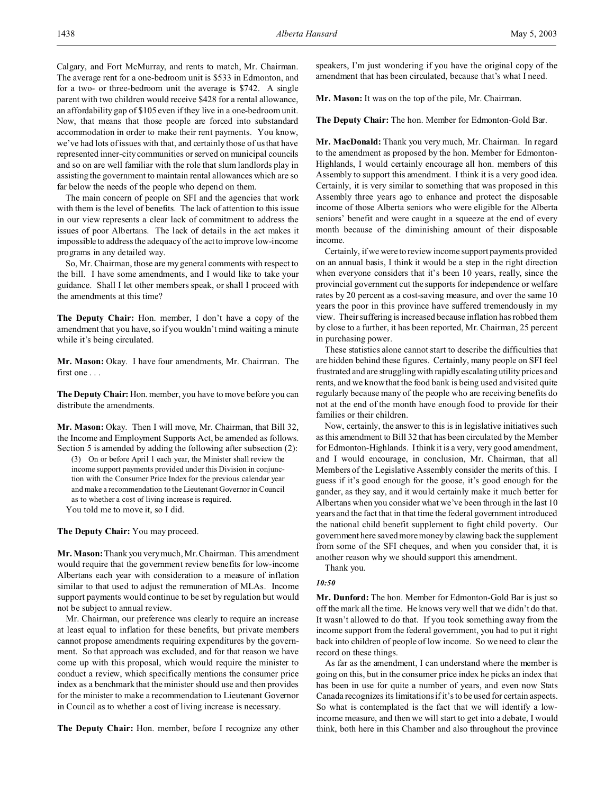Calgary, and Fort McMurray, and rents to match, Mr. Chairman. The average rent for a one-bedroom unit is \$533 in Edmonton, and for a two- or three-bedroom unit the average is \$742. A single parent with two children would receive \$428 for a rental allowance, an affordability gap of \$105 even if they live in a one-bedroom unit. Now, that means that those people are forced into substandard accommodation in order to make their rent payments. You know, we've had lots of issues with that, and certainly those of us that have represented inner-city communities or served on municipal councils and so on are well familiar with the role that slum landlords play in assisting the government to maintain rental allowances which are so far below the needs of the people who depend on them.

The main concern of people on SFI and the agencies that work with them is the level of benefits. The lack of attention to this issue in our view represents a clear lack of commitment to address the issues of poor Albertans. The lack of details in the act makes it impossible to address the adequacy of the act to improve low-income programs in any detailed way.

So, Mr. Chairman, those are my general comments with respect to the bill. I have some amendments, and I would like to take your guidance. Shall I let other members speak, or shall I proceed with the amendments at this time?

**The Deputy Chair:** Hon. member, I don't have a copy of the amendment that you have, so if you wouldn't mind waiting a minute while it's being circulated.

**Mr. Mason:** Okay. I have four amendments, Mr. Chairman. The first one . . .

**The Deputy Chair:** Hon. member, you have to move before you can distribute the amendments.

**Mr. Mason:** Okay. Then I will move, Mr. Chairman, that Bill 32, the Income and Employment Supports Act, be amended as follows. Section 5 is amended by adding the following after subsection (2):

(3) On or before April 1 each year, the Minister shall review the income support payments provided under this Division in conjunction with the Consumer Price Index for the previous calendar year and make a recommendation to the Lieutenant Governor in Council as to whether a cost of living increase is required. You told me to move it, so I did.

**The Deputy Chair:** You may proceed.

**Mr. Mason:** Thank you very much, Mr. Chairman. This amendment would require that the government review benefits for low-income Albertans each year with consideration to a measure of inflation similar to that used to adjust the remuneration of MLAs. Income support payments would continue to be set by regulation but would not be subject to annual review.

Mr. Chairman, our preference was clearly to require an increase at least equal to inflation for these benefits, but private members cannot propose amendments requiring expenditures by the government. So that approach was excluded, and for that reason we have come up with this proposal, which would require the minister to conduct a review, which specifically mentions the consumer price index as a benchmark that the minister should use and then provides for the minister to make a recommendation to Lieutenant Governor in Council as to whether a cost of living increase is necessary.

**The Deputy Chair:** Hon. member, before I recognize any other

speakers, I'm just wondering if you have the original copy of the amendment that has been circulated, because that's what I need.

**Mr. Mason:** It was on the top of the pile, Mr. Chairman.

**The Deputy Chair:** The hon. Member for Edmonton-Gold Bar.

**Mr. MacDonald:** Thank you very much, Mr. Chairman. In regard to the amendment as proposed by the hon. Member for Edmonton-Highlands, I would certainly encourage all hon. members of this Assembly to support this amendment. I think it is a very good idea. Certainly, it is very similar to something that was proposed in this Assembly three years ago to enhance and protect the disposable income of those Alberta seniors who were eligible for the Alberta seniors' benefit and were caught in a squeeze at the end of every month because of the diminishing amount of their disposable income.

Certainly, if we were to review income support payments provided on an annual basis, I think it would be a step in the right direction when everyone considers that it's been 10 years, really, since the provincial government cut the supports for independence or welfare rates by 20 percent as a cost-saving measure, and over the same 10 years the poor in this province have suffered tremendously in my view. Their suffering is increased because inflation has robbed them by close to a further, it has been reported, Mr. Chairman, 25 percent in purchasing power.

These statistics alone cannot start to describe the difficulties that are hidden behind these figures. Certainly, many people on SFI feel frustrated and are struggling with rapidly escalating utility prices and rents, and we know that the food bank is being used and visited quite regularly because many of the people who are receiving benefits do not at the end of the month have enough food to provide for their families or their children.

Now, certainly, the answer to this is in legislative initiatives such as this amendment to Bill 32 that has been circulated by the Member for Edmonton-Highlands. I think it is a very, very good amendment, and I would encourage, in conclusion, Mr. Chairman, that all Members of the Legislative Assembly consider the merits of this. I guess if it's good enough for the goose, it's good enough for the gander, as they say, and it would certainly make it much better for Albertans when you consider what we've been through in the last 10 years and the fact that in that time the federal government introduced the national child benefit supplement to fight child poverty. Our government here saved more money by clawing back the supplement from some of the SFI cheques, and when you consider that, it is another reason why we should support this amendment.

Thank you.

## *10:50*

**Mr. Dunford:** The hon. Member for Edmonton-Gold Bar is just so off the mark all the time. He knows very well that we didn't do that. It wasn't allowed to do that. If you took something away from the income support from the federal government, you had to put it right back into children of people of low income. So we need to clear the record on these things.

As far as the amendment, I can understand where the member is going on this, but in the consumer price index he picks an index that has been in use for quite a number of years, and even now Stats Canada recognizes its limitations if it's to be used for certain aspects. So what is contemplated is the fact that we will identify a lowincome measure, and then we will start to get into a debate, I would think, both here in this Chamber and also throughout the province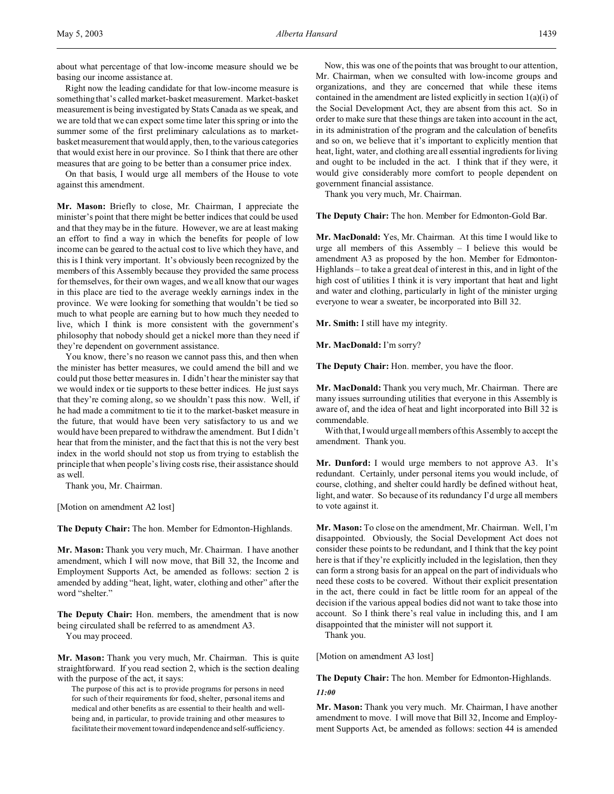about what percentage of that low-income measure should we be basing our income assistance at.

Right now the leading candidate for that low-income measure is something that's called market-basket measurement. Market-basket measurement is being investigated by Stats Canada as we speak, and we are told that we can expect some time later this spring or into the summer some of the first preliminary calculations as to marketbasket measurement that would apply, then, to the various categories that would exist here in our province. So I think that there are other measures that are going to be better than a consumer price index.

On that basis, I would urge all members of the House to vote against this amendment.

**Mr. Mason:** Briefly to close, Mr. Chairman, I appreciate the minister's point that there might be better indices that could be used and that they may be in the future. However, we are at least making an effort to find a way in which the benefits for people of low income can be geared to the actual cost to live which they have, and this is I think very important. It's obviously been recognized by the members of this Assembly because they provided the same process for themselves, for their own wages, and we all know that our wages in this place are tied to the average weekly earnings index in the province. We were looking for something that wouldn't be tied so much to what people are earning but to how much they needed to live, which I think is more consistent with the government's philosophy that nobody should get a nickel more than they need if they're dependent on government assistance.

You know, there's no reason we cannot pass this, and then when the minister has better measures, we could amend the bill and we could put those better measures in. I didn't hear the minister say that we would index or tie supports to these better indices. He just says that they're coming along, so we shouldn't pass this now. Well, if he had made a commitment to tie it to the market-basket measure in the future, that would have been very satisfactory to us and we would have been prepared to withdraw the amendment. But I didn't hear that from the minister, and the fact that this is not the very best index in the world should not stop us from trying to establish the principle that when people's living costs rise, their assistance should as well.

Thank you, Mr. Chairman.

[Motion on amendment A2 lost]

**The Deputy Chair:** The hon. Member for Edmonton-Highlands.

**Mr. Mason:** Thank you very much, Mr. Chairman. I have another amendment, which I will now move, that Bill 32, the Income and Employment Supports Act, be amended as follows: section 2 is amended by adding "heat, light, water, clothing and other" after the word "shelter."

**The Deputy Chair:** Hon. members, the amendment that is now being circulated shall be referred to as amendment A3. You may proceed.

**Mr. Mason:** Thank you very much, Mr. Chairman. This is quite straightforward. If you read section 2, which is the section dealing with the purpose of the act, it says:

The purpose of this act is to provide programs for persons in need for such of their requirements for food, shelter, personal items and medical and other benefits as are essential to their health and wellbeing and, in particular, to provide training and other measures to facilitate their movement toward independence and self-sufficiency.

Now, this was one of the points that was brought to our attention, Mr. Chairman, when we consulted with low-income groups and organizations, and they are concerned that while these items contained in the amendment are listed explicitly in section 1(a)(i) of the Social Development Act, they are absent from this act. So in order to make sure that these things are taken into account in the act, in its administration of the program and the calculation of benefits and so on, we believe that it's important to explicitly mention that heat, light, water, and clothing are all essential ingredients for living and ought to be included in the act. I think that if they were, it would give considerably more comfort to people dependent on government financial assistance.

Thank you very much, Mr. Chairman.

**The Deputy Chair:** The hon. Member for Edmonton-Gold Bar.

**Mr. MacDonald:** Yes, Mr. Chairman. At this time I would like to urge all members of this Assembly – I believe this would be amendment A3 as proposed by the hon. Member for Edmonton-Highlands – to take a great deal of interest in this, and in light of the high cost of utilities I think it is very important that heat and light and water and clothing, particularly in light of the minister urging everyone to wear a sweater, be incorporated into Bill 32.

**Mr. Smith:** I still have my integrity.

**Mr. MacDonald:** I'm sorry?

**The Deputy Chair:** Hon. member, you have the floor.

**Mr. MacDonald:** Thank you very much, Mr. Chairman. There are many issues surrounding utilities that everyone in this Assembly is aware of, and the idea of heat and light incorporated into Bill 32 is commendable.

With that, I would urge all members of this Assembly to accept the amendment. Thank you.

**Mr. Dunford:** I would urge members to not approve A3. It's redundant. Certainly, under personal items you would include, of course, clothing, and shelter could hardly be defined without heat, light, and water. So because of its redundancy I'd urge all members to vote against it.

**Mr. Mason:** To close on the amendment, Mr. Chairman. Well, I'm disappointed. Obviously, the Social Development Act does not consider these points to be redundant, and I think that the key point here is that if they're explicitly included in the legislation, then they can form a strong basis for an appeal on the part of individuals who need these costs to be covered. Without their explicit presentation in the act, there could in fact be little room for an appeal of the decision if the various appeal bodies did not want to take those into account. So I think there's real value in including this, and I am disappointed that the minister will not support it.

Thank you.

[Motion on amendment A3 lost]

**The Deputy Chair:** The hon. Member for Edmonton-Highlands. *11:00*

**Mr. Mason:** Thank you very much. Mr. Chairman, I have another amendment to move. I will move that Bill 32, Income and Employment Supports Act, be amended as follows: section 44 is amended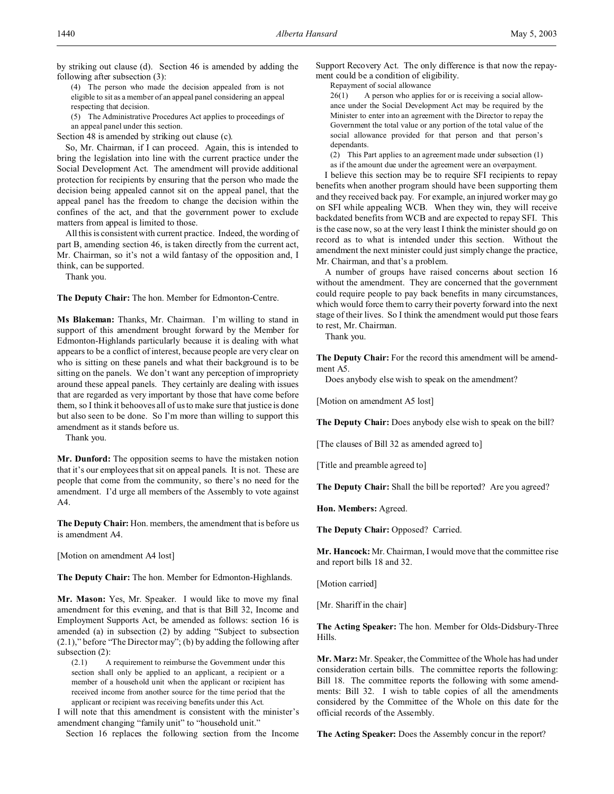by striking out clause (d). Section 46 is amended by adding the following after subsection (3):

(4) The person who made the decision appealed from is not eligible to sit as a member of an appeal panel considering an appeal respecting that decision.

(5) The Administrative Procedures Act applies to proceedings of an appeal panel under this section.

Section 48 is amended by striking out clause (c).

So, Mr. Chairman, if I can proceed. Again, this is intended to bring the legislation into line with the current practice under the Social Development Act. The amendment will provide additional protection for recipients by ensuring that the person who made the decision being appealed cannot sit on the appeal panel, that the appeal panel has the freedom to change the decision within the confines of the act, and that the government power to exclude matters from appeal is limited to those.

All this is consistent with current practice. Indeed, the wording of part B, amending section 46, is taken directly from the current act, Mr. Chairman, so it's not a wild fantasy of the opposition and, I think, can be supported.

Thank you.

**The Deputy Chair:** The hon. Member for Edmonton-Centre.

**Ms Blakeman:** Thanks, Mr. Chairman. I'm willing to stand in support of this amendment brought forward by the Member for Edmonton-Highlands particularly because it is dealing with what appears to be a conflict of interest, because people are very clear on who is sitting on these panels and what their background is to be sitting on the panels. We don't want any perception of impropriety around these appeal panels. They certainly are dealing with issues that are regarded as very important by those that have come before them, so I think it behooves all of us to make sure that justice is done but also seen to be done. So I'm more than willing to support this amendment as it stands before us.

Thank you.

**Mr. Dunford:** The opposition seems to have the mistaken notion that it's our employees that sit on appeal panels. It is not. These are people that come from the community, so there's no need for the amendment. I'd urge all members of the Assembly to vote against A4.

**The Deputy Chair:** Hon. members, the amendment that is before us is amendment A4.

[Motion on amendment A4 lost]

**The Deputy Chair:** The hon. Member for Edmonton-Highlands.

**Mr. Mason:** Yes, Mr. Speaker. I would like to move my final amendment for this evening, and that is that Bill 32, Income and Employment Supports Act, be amended as follows: section 16 is amended (a) in subsection (2) by adding "Subject to subsection (2.1)," before "The Director may"; (b) by adding the following after subsection (2):<br>(2.1) A

A requirement to reimburse the Government under this section shall only be applied to an applicant, a recipient or a member of a household unit when the applicant or recipient has received income from another source for the time period that the applicant or recipient was receiving benefits under this Act.

I will note that this amendment is consistent with the minister's amendment changing "family unit" to "household unit."

Section 16 replaces the following section from the Income

Support Recovery Act. The only difference is that now the repayment could be a condition of eligibility.

Repayment of social allowance

26(1) A person who applies for or is receiving a social allowance under the Social Development Act may be required by the Minister to enter into an agreement with the Director to repay the Government the total value or any portion of the total value of the social allowance provided for that person and that person's dependants.

(2) This Part applies to an agreement made under subsection (1) as if the amount due under the agreement were an overpayment.

I believe this section may be to require SFI recipients to repay benefits when another program should have been supporting them and they received back pay. For example, an injured worker may go on SFI while appealing WCB. When they win, they will receive backdated benefits from WCB and are expected to repay SFI. This is the case now, so at the very least I think the minister should go on record as to what is intended under this section. Without the amendment the next minister could just simply change the practice, Mr. Chairman, and that's a problem.

A number of groups have raised concerns about section 16 without the amendment. They are concerned that the government could require people to pay back benefits in many circumstances, which would force them to carry their poverty forward into the next stage of their lives. So I think the amendment would put those fears to rest, Mr. Chairman.

Thank you.

**The Deputy Chair:** For the record this amendment will be amendment A5.

Does anybody else wish to speak on the amendment?

[Motion on amendment A5 lost]

**The Deputy Chair:** Does anybody else wish to speak on the bill?

[The clauses of Bill 32 as amended agreed to]

[Title and preamble agreed to]

**The Deputy Chair:** Shall the bill be reported? Are you agreed?

**Hon. Members:** Agreed.

**The Deputy Chair:** Opposed? Carried.

**Mr. Hancock:** Mr. Chairman, I would move that the committee rise and report bills 18 and 32.

[Motion carried]

[Mr. Shariff in the chair]

**The Acting Speaker:** The hon. Member for Olds-Didsbury-Three Hills.

**Mr. Marz:** Mr. Speaker, the Committee of the Whole has had under consideration certain bills. The committee reports the following: Bill 18. The committee reports the following with some amendments: Bill 32. I wish to table copies of all the amendments considered by the Committee of the Whole on this date for the official records of the Assembly.

**The Acting Speaker:** Does the Assembly concur in the report?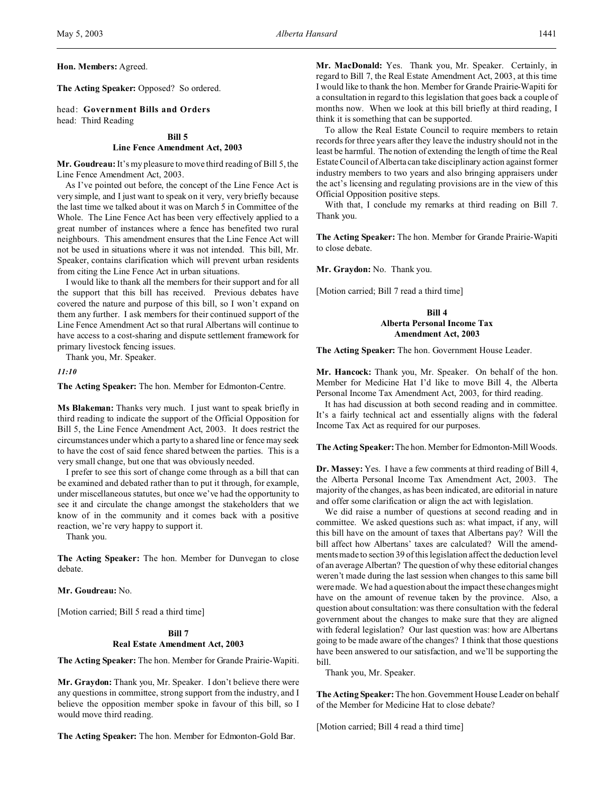**The Acting Speaker:** Opposed? So ordered.

head: **Government Bills and Orders** head: Third Reading

#### **Bill 5**

### **Line Fence Amendment Act, 2003**

**Mr. Goudreau:**It's my pleasure to move third reading of Bill 5, the Line Fence Amendment Act, 2003.

As I've pointed out before, the concept of the Line Fence Act is very simple, and I just want to speak on it very, very briefly because the last time we talked about it was on March 5 in Committee of the Whole. The Line Fence Act has been very effectively applied to a great number of instances where a fence has benefited two rural neighbours. This amendment ensures that the Line Fence Act will not be used in situations where it was not intended. This bill, Mr. Speaker, contains clarification which will prevent urban residents from citing the Line Fence Act in urban situations.

I would like to thank all the members for their support and for all the support that this bill has received. Previous debates have covered the nature and purpose of this bill, so I won't expand on them any further. I ask members for their continued support of the Line Fence Amendment Act so that rural Albertans will continue to have access to a cost-sharing and dispute settlement framework for primary livestock fencing issues.

Thank you, Mr. Speaker.

*11:10*

**The Acting Speaker:** The hon. Member for Edmonton-Centre.

**Ms Blakeman:** Thanks very much. I just want to speak briefly in third reading to indicate the support of the Official Opposition for Bill 5, the Line Fence Amendment Act, 2003. It does restrict the circumstances under which a party to a shared line or fence may seek to have the cost of said fence shared between the parties. This is a very small change, but one that was obviously needed.

I prefer to see this sort of change come through as a bill that can be examined and debated rather than to put it through, for example, under miscellaneous statutes, but once we've had the opportunity to see it and circulate the change amongst the stakeholders that we know of in the community and it comes back with a positive reaction, we're very happy to support it.

Thank you.

**The Acting Speaker:** The hon. Member for Dunvegan to close debate.

**Mr. Goudreau:** No.

[Motion carried; Bill 5 read a third time]

## **Bill 7 Real Estate Amendment Act, 2003**

**The Acting Speaker:** The hon. Member for Grande Prairie-Wapiti.

**Mr. Graydon:** Thank you, Mr. Speaker. I don't believe there were any questions in committee, strong support from the industry, and I believe the opposition member spoke in favour of this bill, so I would move third reading.

**The Acting Speaker:** The hon. Member for Edmonton-Gold Bar.

**Mr. MacDonald:** Yes. Thank you, Mr. Speaker. Certainly, in regard to Bill 7, the Real Estate Amendment Act, 2003, at this time I would like to thank the hon. Member for Grande Prairie-Wapiti for a consultation in regard to this legislation that goes back a couple of months now. When we look at this bill briefly at third reading, I think it is something that can be supported.

To allow the Real Estate Council to require members to retain records for three years after they leave the industry should not in the least be harmful. The notion of extending the length of time the Real Estate Council of Alberta can take disciplinary action against former industry members to two years and also bringing appraisers under the act's licensing and regulating provisions are in the view of this Official Opposition positive steps.

With that, I conclude my remarks at third reading on Bill 7. Thank you.

**The Acting Speaker:** The hon. Member for Grande Prairie-Wapiti to close debate.

**Mr. Graydon:** No. Thank you.

[Motion carried; Bill 7 read a third time]

## **Bill 4 Alberta Personal Income Tax Amendment Act, 2003**

**The Acting Speaker:** The hon. Government House Leader.

**Mr. Hancock:** Thank you, Mr. Speaker. On behalf of the hon. Member for Medicine Hat I'd like to move Bill 4, the Alberta Personal Income Tax Amendment Act, 2003, for third reading.

It has had discussion at both second reading and in committee. It's a fairly technical act and essentially aligns with the federal Income Tax Act as required for our purposes.

**The Acting Speaker:**The hon. Member for Edmonton-Mill Woods.

**Dr. Massey:** Yes. I have a few comments at third reading of Bill 4, the Alberta Personal Income Tax Amendment Act, 2003. The majority of the changes, as has been indicated, are editorial in nature and offer some clarification or align the act with legislation.

We did raise a number of questions at second reading and in committee. We asked questions such as: what impact, if any, will this bill have on the amount of taxes that Albertans pay? Will the bill affect how Albertans' taxes are calculated? Will the amendments made to section 39 of this legislation affect the deduction level of an average Albertan? The question of why these editorial changes weren't made during the last session when changes to this same bill were made. We had a question about the impact these changes might have on the amount of revenue taken by the province. Also, a question about consultation: was there consultation with the federal government about the changes to make sure that they are aligned with federal legislation? Our last question was: how are Albertans going to be made aware of the changes? I think that those questions have been answered to our satisfaction, and we'll be supporting the bill.

Thank you, Mr. Speaker.

**The Acting Speaker:** The hon. Government House Leader on behalf of the Member for Medicine Hat to close debate?

[Motion carried; Bill 4 read a third time]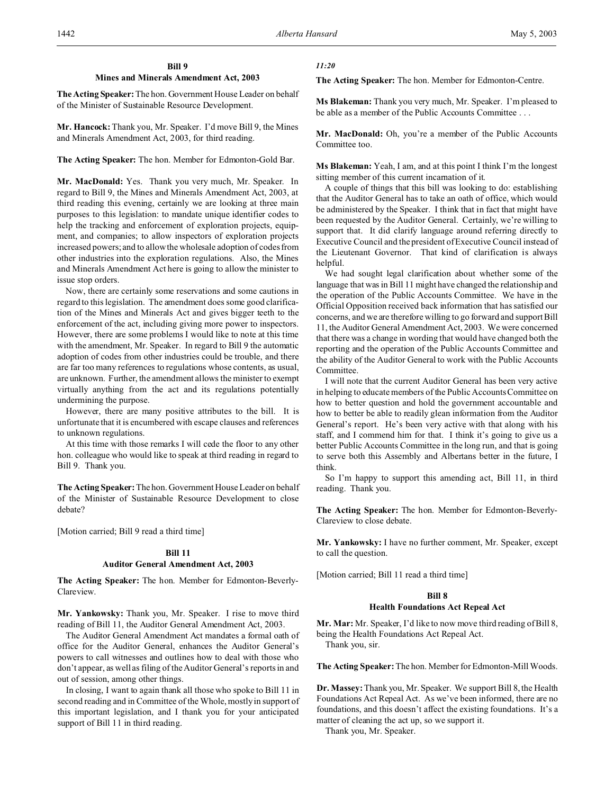## **Bill 9 Mines and Minerals Amendment Act, 2003**

**The Acting Speaker:** The hon. Government House Leader on behalf of the Minister of Sustainable Resource Development.

**Mr. Hancock:** Thank you, Mr. Speaker. I'd move Bill 9, the Mines and Minerals Amendment Act, 2003, for third reading.

**The Acting Speaker:** The hon. Member for Edmonton-Gold Bar.

**Mr. MacDonald:** Yes. Thank you very much, Mr. Speaker. In regard to Bill 9, the Mines and Minerals Amendment Act, 2003, at third reading this evening, certainly we are looking at three main purposes to this legislation: to mandate unique identifier codes to help the tracking and enforcement of exploration projects, equipment, and companies; to allow inspectors of exploration projects increased powers; and to allow the wholesale adoption of codes from other industries into the exploration regulations. Also, the Mines and Minerals Amendment Act here is going to allow the minister to issue stop orders.

Now, there are certainly some reservations and some cautions in regard to this legislation. The amendment does some good clarification of the Mines and Minerals Act and gives bigger teeth to the enforcement of the act, including giving more power to inspectors. However, there are some problems I would like to note at this time with the amendment, Mr. Speaker. In regard to Bill 9 the automatic adoption of codes from other industries could be trouble, and there are far too many references to regulations whose contents, as usual, are unknown. Further, the amendment allows the minister to exempt virtually anything from the act and its regulations potentially undermining the purpose.

However, there are many positive attributes to the bill. It is unfortunate that it is encumbered with escape clauses and references to unknown regulations.

At this time with those remarks I will cede the floor to any other hon. colleague who would like to speak at third reading in regard to Bill 9. Thank you.

**The Acting Speaker:**The hon. Government House Leader on behalf of the Minister of Sustainable Resource Development to close debate?

[Motion carried; Bill 9 read a third time]

### **Bill 11**

### **Auditor General Amendment Act, 2003**

**The Acting Speaker:** The hon. Member for Edmonton-Beverly-Clareview.

**Mr. Yankowsky:** Thank you, Mr. Speaker. I rise to move third reading of Bill 11, the Auditor General Amendment Act, 2003.

The Auditor General Amendment Act mandates a formal oath of office for the Auditor General, enhances the Auditor General's powers to call witnesses and outlines how to deal with those who don't appear, as well as filing of the Auditor General's reports in and out of session, among other things.

In closing, I want to again thank all those who spoke to Bill 11 in second reading and in Committee of the Whole, mostly in support of this important legislation, and I thank you for your anticipated support of Bill 11 in third reading.

## *11:20*

**The Acting Speaker:** The hon. Member for Edmonton-Centre.

**Ms Blakeman:** Thank you very much, Mr. Speaker. I'm pleased to be able as a member of the Public Accounts Committee . . .

**Mr. MacDonald:** Oh, you're a member of the Public Accounts Committee too.

**Ms Blakeman:** Yeah, I am, and at this point I think I'm the longest sitting member of this current incarnation of it.

A couple of things that this bill was looking to do: establishing that the Auditor General has to take an oath of office, which would be administered by the Speaker. I think that in fact that might have been requested by the Auditor General. Certainly, we're willing to support that. It did clarify language around referring directly to Executive Council and the president of Executive Council instead of the Lieutenant Governor. That kind of clarification is always helpful.

We had sought legal clarification about whether some of the language that was in Bill 11 might have changed the relationship and the operation of the Public Accounts Committee. We have in the Official Opposition received back information that has satisfied our concerns, and we are therefore willing to go forward and support Bill 11, the Auditor General Amendment Act, 2003. We were concerned that there was a change in wording that would have changed both the reporting and the operation of the Public Accounts Committee and the ability of the Auditor General to work with the Public Accounts Committee.

I will note that the current Auditor General has been very active in helping to educate members of the Public Accounts Committee on how to better question and hold the government accountable and how to better be able to readily glean information from the Auditor General's report. He's been very active with that along with his staff, and I commend him for that. I think it's going to give us a better Public Accounts Committee in the long run, and that is going to serve both this Assembly and Albertans better in the future, I think.

So I'm happy to support this amending act, Bill 11, in third reading. Thank you.

**The Acting Speaker:** The hon. Member for Edmonton-Beverly-Clareview to close debate.

**Mr. Yankowsky:** I have no further comment, Mr. Speaker, except to call the question.

[Motion carried; Bill 11 read a third time]

## **Bill 8 Health Foundations Act Repeal Act**

**Mr. Mar:** Mr. Speaker, I'd like to now move third reading of Bill 8, being the Health Foundations Act Repeal Act.

Thank you, sir.

**The Acting Speaker:** The hon. Member for Edmonton-Mill Woods.

**Dr. Massey:** Thank you, Mr. Speaker. We support Bill 8, the Health Foundations Act Repeal Act. As we've been informed, there are no foundations, and this doesn't affect the existing foundations. It's a matter of cleaning the act up, so we support it.

Thank you, Mr. Speaker.